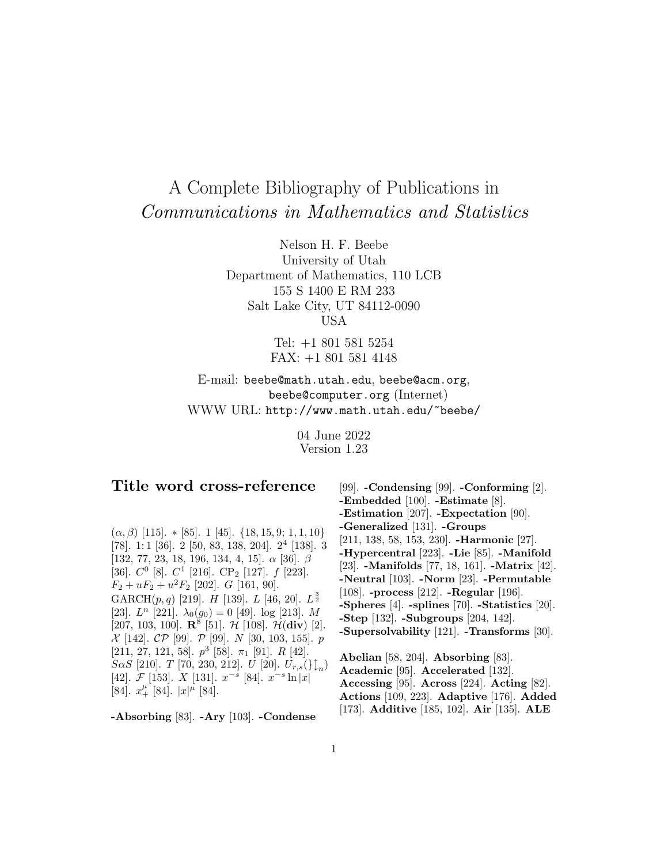# A Complete Bibliography of Publications in Communications in Mathematics and Statistics

Nelson H. F. Beebe University of Utah Department of Mathematics, 110 LCB 155 S 1400 E RM 233 Salt Lake City, UT 84112-0090 USA

> Tel: +1 801 581 5254 FAX: +1 801 581 4148

E-mail: beebe@math.utah.edu, beebe@acm.org, beebe@computer.org (Internet) WWW URL: http://www.math.utah.edu/~beebe/

> 04 June 2022 Version 1.23

# **Title word cross-reference**

 $(\alpha, \beta)$  [115]. \* [85]. 1 [45]. {18, 15, 9; 1, 1, 10} [78]. 1: 1 [36]. 2 [50, 83, 138, 204]. 2<sup>4</sup> [138]. 3 [132, 77, 23, 18, 196, 134, 4, 15].  $\alpha$  [36].  $\beta$ [36].  $C^0$  [8].  $C^1$  [216].  $CP_2$  [127].  $f$  [223].  $F_2 + uF_2 + u^2F_2$  [202]. G [161, 90]. GARCH $(p, q)$  [219]. H [139]. L [46, 20].  $L^{\frac{3}{2}}$ [23].  $L^n$  [221].  $\lambda_0(g_0) = 0$  [49]. log [213]. M [207, 103, 100]. **R**<sup>8</sup> [51]. *H* [108]. *H*(div) [2].  $\mathcal{X}$  [142].  $\mathcal{CP}$  [99].  $\mathcal{P}$  [99].  $N$  [30, 103, 155].  $p$ [211, 27, 121, 58].  $p^3$  [58].  $\pi_1$  [91]. R [42].  $S\alpha S$  [210]. T [70, 230, 212]. U [20].  $U_{r,s}(\}_{r,n}^{\uparrow})$ [42].  $\mathcal{F}$  [153].  $X$  [131].  $x^{-s}$  [84].  $x^{-s}$  ln |x|  $[84]$ .  $x_+^{\mu}$   $[84]$ .  $|x|^{\mu}$   $[84]$ .

**-Absorbing** [83]. **-Ary** [103]. **-Condense**

[99]. **-Condensing** [99]. **-Conforming** [2]. **-Embedded** [100]. **-Estimate** [8]. **-Estimation** [207]. **-Expectation** [90]. **-Generalized** [131]. **-Groups** [211, 138, 58, 153, 230]. **-Harmonic** [27]. **-Hypercentral** [223]. **-Lie** [85]. **-Manifold** [23]. **-Manifolds** [77, 18, 161]. **-Matrix** [42]. **-Neutral** [103]. **-Norm** [23]. **-Permutable** [108]. **-process** [212]. **-Regular** [196]. **-Spheres** [4]. **-splines** [70]. **-Statistics** [20]. **-Step** [132]. **-Subgroups** [204, 142]. **-Supersolvability** [121]. **-Transforms** [30].

**Abelian** [58, 204]. **Absorbing** [83]. **Academic** [95]. **Accelerated** [132]. **Accessing** [95]. **Across** [224]. **Acting** [82]. **Actions** [109, 223]. **Adaptive** [176]. **Added** [173]. **Additive** [185, 102]. **Air** [135]. **ALE**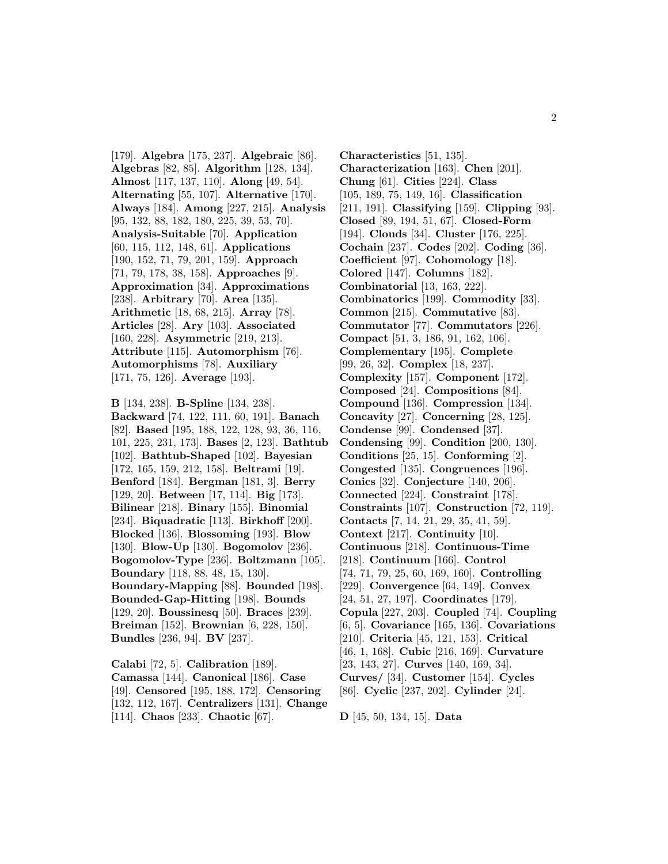[179]. **Algebra** [175, 237]. **Algebraic** [86]. **Algebras** [82, 85]. **Algorithm** [128, 134]. **Almost** [117, 137, 110]. **Along** [49, 54]. **Alternating** [55, 107]. **Alternative** [170]. **Always** [184]. **Among** [227, 215]. **Analysis** [95, 132, 88, 182, 180, 225, 39, 53, 70]. **Analysis-Suitable** [70]. **Application** [60, 115, 112, 148, 61]. **Applications** [190, 152, 71, 79, 201, 159]. **Approach** [71, 79, 178, 38, 158]. **Approaches** [9]. **Approximation** [34]. **Approximations** [238]. **Arbitrary** [70]. **Area** [135]. **Arithmetic** [18, 68, 215]. **Array** [78]. **Articles** [28]. **Ary** [103]. **Associated** [160, 228]. **Asymmetric** [219, 213]. **Attribute** [115]. **Automorphism** [76]. **Automorphisms** [78]. **Auxiliary** [171, 75, 126]. **Average** [193].

**B** [134, 238]. **B-Spline** [134, 238]. **Backward** [74, 122, 111, 60, 191]. **Banach** [82]. **Based** [195, 188, 122, 128, 93, 36, 116, 101, 225, 231, 173]. **Bases** [2, 123]. **Bathtub** [102]. **Bathtub-Shaped** [102]. **Bayesian** [172, 165, 159, 212, 158]. **Beltrami** [19]. **Benford** [184]. **Bergman** [181, 3]. **Berry** [129, 20]. **Between** [17, 114]. **Big** [173]. **Bilinear** [218]. **Binary** [155]. **Binomial** [234]. **Biquadratic** [113]. **Birkhoff** [200]. **Blocked** [136]. **Blossoming** [193]. **Blow** [130]. **Blow-Up** [130]. **Bogomolov** [236]. **Bogomolov-Type** [236]. **Boltzmann** [105]. **Boundary** [118, 88, 48, 15, 130]. **Boundary-Mapping** [88]. **Bounded** [198]. **Bounded-Gap-Hitting** [198]. **Bounds** [129, 20]. **Boussinesq** [50]. **Braces** [239]. **Breiman** [152]. **Brownian** [6, 228, 150]. **Bundles** [236, 94]. **BV** [237].

**Calabi** [72, 5]. **Calibration** [189]. **Camassa** [144]. **Canonical** [186]. **Case** [49]. **Censored** [195, 188, 172]. **Censoring** [132, 112, 167]. **Centralizers** [131]. **Change** [114]. **Chaos** [233]. **Chaotic** [67].

**Characteristics** [51, 135]. **Characterization** [163]. **Chen** [201]. **Chung** [61]. **Cities** [224]. **Class** [105, 189, 75, 149, 16]. **Classification** [211, 191]. **Classifying** [159]. **Clipping** [93]. **Closed** [89, 194, 51, 67]. **Closed-Form** [194]. **Clouds** [34]. **Cluster** [176, 225]. **Cochain** [237]. **Codes** [202]. **Coding** [36]. **Coefficient** [97]. **Cohomology** [18]. **Colored** [147]. **Columns** [182]. **Combinatorial** [13, 163, 222]. **Combinatorics** [199]. **Commodity** [33]. **Common** [215]. **Commutative** [83]. **Commutator** [77]. **Commutators** [226]. **Compact** [51, 3, 186, 91, 162, 106]. **Complementary** [195]. **Complete** [99, 26, 32]. **Complex** [18, 237]. **Complexity** [157]. **Component** [172]. **Composed** [24]. **Compositions** [84]. **Compound** [136]. **Compression** [134]. **Concavity** [27]. **Concerning** [28, 125]. **Condense** [99]. **Condensed** [37]. **Condensing** [99]. **Condition** [200, 130]. **Conditions** [25, 15]. **Conforming** [2]. **Congested** [135]. **Congruences** [196]. **Conics** [32]. **Conjecture** [140, 206]. **Connected** [224]. **Constraint** [178]. **Constraints** [107]. **Construction** [72, 119]. **Contacts** [7, 14, 21, 29, 35, 41, 59]. **Context** [217]. **Continuity** [10]. **Continuous** [218]. **Continuous-Time** [218]. **Continuum** [166]. **Control** [74, 71, 79, 25, 60, 169, 160]. **Controlling** [229]. **Convergence** [64, 149]. **Convex** [24, 51, 27, 197]. **Coordinates** [179]. **Copula** [227, 203]. **Coupled** [74]. **Coupling** [6, 5]. **Covariance** [165, 136]. **Covariations** [210]. **Criteria** [45, 121, 153]. **Critical** [46, 1, 168]. **Cubic** [216, 169]. **Curvature** [23, 143, 27]. **Curves** [140, 169, 34]. **Curves/** [34]. **Customer** [154]. **Cycles** [86]. **Cyclic** [237, 202]. **Cylinder** [24].

**D** [45, 50, 134, 15]. **Data**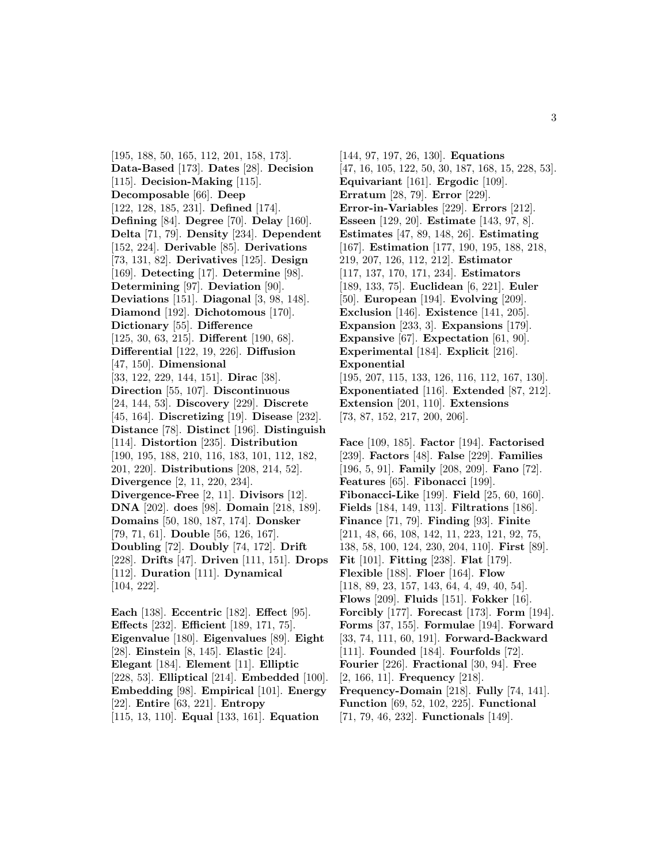[195, 188, 50, 165, 112, 201, 158, 173]. **Data-Based** [173]. **Dates** [28]. **Decision** [115]. **Decision-Making** [115]. **Decomposable** [66]. **Deep** [122, 128, 185, 231]. **Defined** [174]. **Defining** [84]. **Degree** [70]. **Delay** [160]. **Delta** [71, 79]. **Density** [234]. **Dependent** [152, 224]. **Derivable** [85]. **Derivations** [73, 131, 82]. **Derivatives** [125]. **Design** [169]. **Detecting** [17]. **Determine** [98]. **Determining** [97]. **Deviation** [90]. **Deviations** [151]. **Diagonal** [3, 98, 148]. **Diamond** [192]. **Dichotomous** [170]. **Dictionary** [55]. **Difference** [125, 30, 63, 215]. **Different** [190, 68]. **Differential** [122, 19, 226]. **Diffusion** [47, 150]. **Dimensional** [33, 122, 229, 144, 151]. **Dirac** [38]. **Direction** [55, 107]. **Discontinuous** [24, 144, 53]. **Discovery** [229]. **Discrete** [45, 164]. **Discretizing** [19]. **Disease** [232]. **Distance** [78]. **Distinct** [196]. **Distinguish** [114]. **Distortion** [235]. **Distribution** [190, 195, 188, 210, 116, 183, 101, 112, 182, 201, 220]. **Distributions** [208, 214, 52]. **Divergence** [2, 11, 220, 234]. **Divergence-Free** [2, 11]. **Divisors** [12]. **DNA** [202]. **does** [98]. **Domain** [218, 189]. **Domains** [50, 180, 187, 174]. **Donsker** [79, 71, 61]. **Double** [56, 126, 167]. **Doubling** [72]. **Doubly** [74, 172]. **Drift** [228]. **Drifts** [47]. **Driven** [111, 151]. **Drops** [112]. **Duration** [111]. **Dynamical** [104, 222].

**Each** [138]. **Eccentric** [182]. **Effect** [95]. **Effects** [232]. **Efficient** [189, 171, 75]. **Eigenvalue** [180]. **Eigenvalues** [89]. **Eight** [28]. **Einstein** [8, 145]. **Elastic** [24]. **Elegant** [184]. **Element** [11]. **Elliptic** [228, 53]. **Elliptical** [214]. **Embedded** [100]. **Embedding** [98]. **Empirical** [101]. **Energy** [22]. **Entire** [63, 221]. **Entropy** [115, 13, 110]. **Equal** [133, 161]. **Equation**

[144, 97, 197, 26, 130]. **Equations** [47, 16, 105, 122, 50, 30, 187, 168, 15, 228, 53]. **Equivariant** [161]. **Ergodic** [109]. **Erratum** [28, 79]. **Error** [229]. **Error-in-Variables** [229]. **Errors** [212]. **Esseen** [129, 20]. **Estimate** [143, 97, 8]. **Estimates** [47, 89, 148, 26]. **Estimating** [167]. **Estimation** [177, 190, 195, 188, 218, 219, 207, 126, 112, 212]. **Estimator** [117, 137, 170, 171, 234]. **Estimators** [189, 133, 75]. **Euclidean** [6, 221]. **Euler** [50]. **European** [194]. **Evolving** [209]. **Exclusion** [146]. **Existence** [141, 205]. **Expansion** [233, 3]. **Expansions** [179]. **Expansive** [67]. **Expectation** [61, 90]. **Experimental** [184]. **Explicit** [216]. **Exponential** [195, 207, 115, 133, 126, 116, 112, 167, 130]. **Exponentiated** [116]. **Extended** [87, 212]. **Extension** [201, 110]. **Extensions** [73, 87, 152, 217, 200, 206].

**Face** [109, 185]. **Factor** [194]. **Factorised** [239]. **Factors** [48]. **False** [229]. **Families** [196, 5, 91]. **Family** [208, 209]. **Fano** [72]. **Features** [65]. **Fibonacci** [199]. **Fibonacci-Like** [199]. **Field** [25, 60, 160]. **Fields** [184, 149, 113]. **Filtrations** [186]. **Finance** [71, 79]. **Finding** [93]. **Finite** [211, 48, 66, 108, 142, 11, 223, 121, 92, 75, 138, 58, 100, 124, 230, 204, 110]. **First** [89]. **Fit** [101]. **Fitting** [238]. **Flat** [179]. **Flexible** [188]. **Floer** [164]. **Flow** [118, 89, 23, 157, 143, 64, 4, 49, 40, 54]. **Flows** [209]. **Fluids** [151]. **Fokker** [16]. **Forcibly** [177]. **Forecast** [173]. **Form** [194]. **Forms** [37, 155]. **Formulae** [194]. **Forward** [33, 74, 111, 60, 191]. **Forward-Backward** [111]. **Founded** [184]. **Fourfolds** [72]. **Fourier** [226]. **Fractional** [30, 94]. **Free** [2, 166, 11]. **Frequency** [218]. **Frequency-Domain** [218]. **Fully** [74, 141]. **Function** [69, 52, 102, 225]. **Functional** [71, 79, 46, 232]. **Functionals** [149].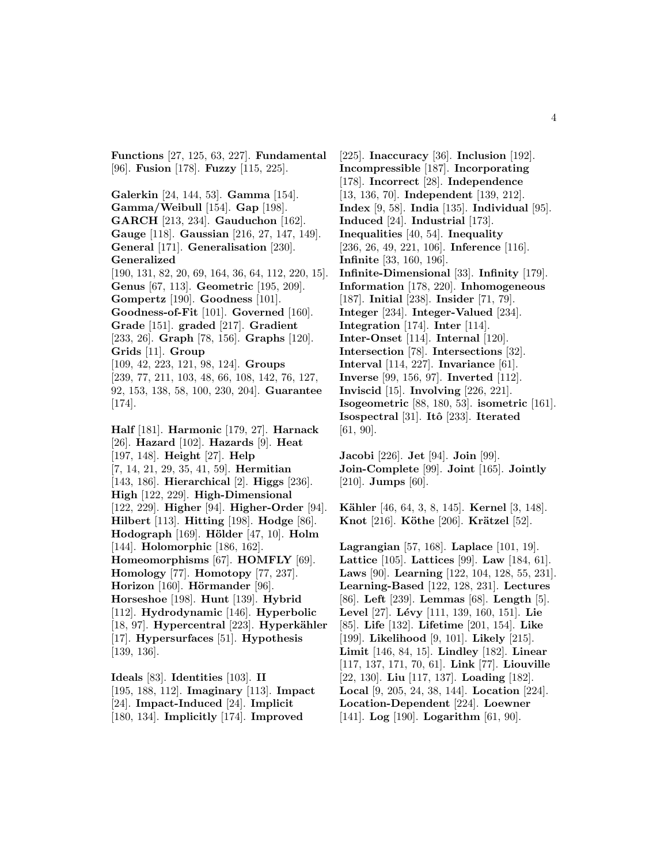**Functions** [27, 125, 63, 227]. **Fundamental** [96]. **Fusion** [178]. **Fuzzy** [115, 225].

**Galerkin** [24, 144, 53]. **Gamma** [154]. **Gamma/Weibull** [154]. **Gap** [198]. **GARCH** [213, 234]. **Gauduchon** [162]. **Gauge** [118]. **Gaussian** [216, 27, 147, 149]. **General** [171]. **Generalisation** [230]. **Generalized** [190, 131, 82, 20, 69, 164, 36, 64, 112, 220, 15]. **Genus** [67, 113]. **Geometric** [195, 209]. **Gompertz** [190]. **Goodness** [101]. **Goodness-of-Fit** [101]. **Governed** [160]. **Grade** [151]. **graded** [217]. **Gradient** [233, 26]. **Graph** [78, 156]. **Graphs** [120]. **Grids** [11]. **Group** [109, 42, 223, 121, 98, 124]. **Groups** [239, 77, 211, 103, 48, 66, 108, 142, 76, 127, 92, 153, 138, 58, 100, 230, 204]. **Guarantee** [174].

**Half** [181]. **Harmonic** [179, 27]. **Harnack** [26]. **Hazard** [102]. **Hazards** [9]. **Heat** [197, 148]. **Height** [27]. **Help** [7, 14, 21, 29, 35, 41, 59]. **Hermitian** [143, 186]. **Hierarchical** [2]. **Higgs** [236]. **High** [122, 229]. **High-Dimensional** [122, 229]. **Higher** [94]. **Higher-Order** [94]. **Hilbert** [113]. **Hitting** [198]. **Hodge** [86]. **Hodograph** [169]. **H¨older** [47, 10]. **Holm** [144]. **Holomorphic** [186, 162]. **Homeomorphisms** [67]. **HOMFLY** [69]. **Homology** [77]. **Homotopy** [77, 237]. **Horizon** [160]. **Hörmander** [96]. **Horseshoe** [198]. **Hunt** [139]. **Hybrid** [112]. **Hydrodynamic** [146]. **Hyperbolic** [18, 97]. **Hypercentral** [223]. **Hyperkähler** [17]. **Hypersurfaces** [51]. **Hypothesis** [139, 136].

**Ideals** [83]. **Identities** [103]. **II** [195, 188, 112]. **Imaginary** [113]. **Impact** [24]. **Impact-Induced** [24]. **Implicit** [180, 134]. **Implicitly** [174]. **Improved**

[225]. **Inaccuracy** [36]. **Inclusion** [192]. **Incompressible** [187]. **Incorporating** [178]. **Incorrect** [28]. **Independence** [13, 136, 70]. **Independent** [139, 212]. **Index** [9, 58]. **India** [135]. **Individual** [95]. **Induced** [24]. **Industrial** [173]. **Inequalities** [40, 54]. **Inequality** [236, 26, 49, 221, 106]. **Inference** [116]. **Infinite** [33, 160, 196]. **Infinite-Dimensional** [33]. **Infinity** [179]. **Information** [178, 220]. **Inhomogeneous** [187]. **Initial** [238]. **Insider** [71, 79]. **Integer** [234]. **Integer-Valued** [234]. **Integration** [174]. **Inter** [114]. **Inter-Onset** [114]. **Internal** [120]. **Intersection** [78]. **Intersections** [32]. **Interval** [114, 227]. **Invariance** [61]. **Inverse** [99, 156, 97]. **Inverted** [112]. **Inviscid** [15]. **Involving** [226, 221]. **Isogeometric** [88, 180, 53]. **isometric** [161]. **Isospectral** [31]. **Itˆo** [233]. **Iterated** [61, 90].

**Jacobi** [226]. **Jet** [94]. **Join** [99]. **Join-Complete** [99]. **Joint** [165]. **Jointly** [210]. **Jumps** [60].

**Kähler** [46, 64, 3, 8, 145]. **Kernel** [3, 148]. **Knot** [216]. **Köthe** [206]. **Krätzel** [52].

**Lagrangian** [57, 168]. **Laplace** [101, 19]. **Lattice** [105]. **Lattices** [99]. **Law** [184, 61]. **Laws** [90]. **Learning** [122, 104, 128, 55, 231]. **Learning-Based** [122, 128, 231]. **Lectures** [86]. **Left** [239]. **Lemmas** [68]. **Length** [5]. **Level** [27]. **L´evy** [111, 139, 160, 151]. **Lie** [85]. **Life** [132]. **Lifetime** [201, 154]. **Like** [199]. **Likelihood** [9, 101]. **Likely** [215]. **Limit** [146, 84, 15]. **Lindley** [182]. **Linear** [117, 137, 171, 70, 61]. **Link** [77]. **Liouville** [22, 130]. **Liu** [117, 137]. **Loading** [182]. **Local** [9, 205, 24, 38, 144]. **Location** [224]. **Location-Dependent** [224]. **Loewner** [141]. **Log** [190]. **Logarithm** [61, 90].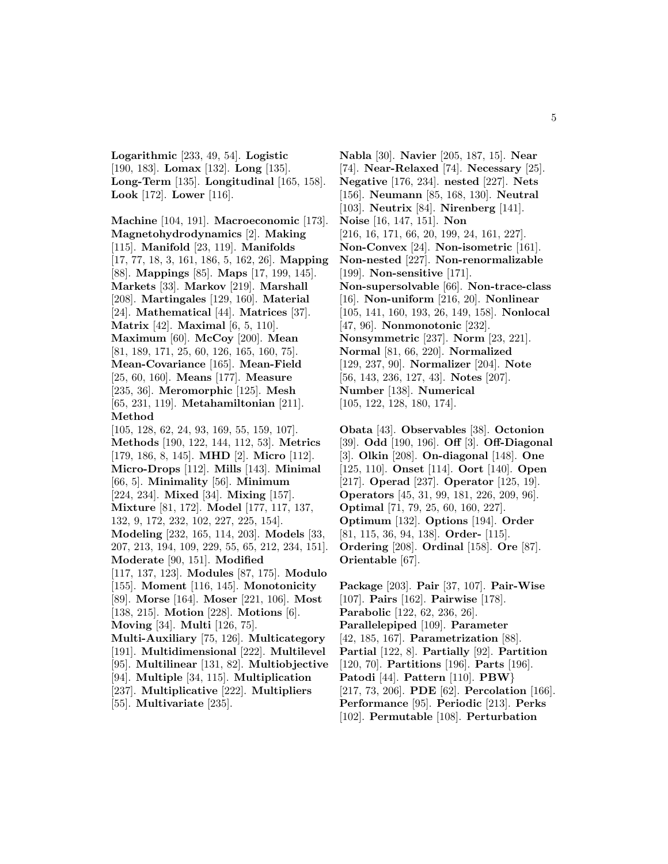**Logarithmic** [233, 49, 54]. **Logistic** [190, 183]. **Lomax** [132]. **Long** [135]. **Long-Term** [135]. **Longitudinal** [165, 158]. **Look** [172]. **Lower** [116].

**Machine** [104, 191]. **Macroeconomic** [173]. **Magnetohydrodynamics** [2]. **Making** [115]. **Manifold** [23, 119]. **Manifolds** [17, 77, 18, 3, 161, 186, 5, 162, 26]. **Mapping** [88]. **Mappings** [85]. **Maps** [17, 199, 145]. **Markets** [33]. **Markov** [219]. **Marshall** [208]. **Martingales** [129, 160]. **Material** [24]. **Mathematical** [44]. **Matrices** [37]. **Matrix** [42]. **Maximal** [6, 5, 110]. **Maximum** [60]. **McCoy** [200]. **Mean** [81, 189, 171, 25, 60, 126, 165, 160, 75]. **Mean-Covariance** [165]. **Mean-Field** [25, 60, 160]. **Means** [177]. **Measure** [235, 36]. **Meromorphic** [125]. **Mesh** [65, 231, 119]. **Metahamiltonian** [211]. **Method** [105, 128, 62, 24, 93, 169, 55, 159, 107]. **Methods** [190, 122, 144, 112, 53]. **Metrics** [179, 186, 8, 145]. **MHD** [2]. **Micro** [112]. **Micro-Drops** [112]. **Mills** [143]. **Minimal** [66, 5]. **Minimality** [56]. **Minimum** [224, 234]. **Mixed** [34]. **Mixing** [157]. **Mixture** [81, 172]. **Model** [177, 117, 137, 132, 9, 172, 232, 102, 227, 225, 154]. **Modeling** [232, 165, 114, 203]. **Models** [33, 207, 213, 194, 109, 229, 55, 65, 212, 234, 151].

**Moderate** [90, 151]. **Modified** [117, 137, 123]. **Modules** [87, 175]. **Modulo** [155]. **Moment** [116, 145]. **Monotonicity** [89]. **Morse** [164]. **Moser** [221, 106]. **Most** [138, 215]. **Motion** [228]. **Motions** [6]. **Moving** [34]. **Multi** [126, 75]. **Multi-Auxiliary** [75, 126]. **Multicategory** [191]. **Multidimensional** [222]. **Multilevel**

[95]. **Multilinear** [131, 82]. **Multiobjective** [94]. **Multiple** [34, 115]. **Multiplication** [237]. **Multiplicative** [222]. **Multipliers** [55]. **Multivariate** [235].

**Nabla** [30]. **Navier** [205, 187, 15]. **Near** [74]. **Near-Relaxed** [74]. **Necessary** [25]. **Negative** [176, 234]. **nested** [227]. **Nets** [156]. **Neumann** [85, 168, 130]. **Neutral** [103]. **Neutrix** [84]. **Nirenberg** [141]. **Noise** [16, 147, 151]. **Non** [216, 16, 171, 66, 20, 199, 24, 161, 227]. **Non-Convex** [24]. **Non-isometric** [161]. **Non-nested** [227]. **Non-renormalizable** [199]. **Non-sensitive** [171]. **Non-supersolvable** [66]. **Non-trace-class** [16]. **Non-uniform** [216, 20]. **Nonlinear** [105, 141, 160, 193, 26, 149, 158]. **Nonlocal** [47, 96]. **Nonmonotonic** [232]. **Nonsymmetric** [237]. **Norm** [23, 221]. **Normal** [81, 66, 220]. **Normalized** [129, 237, 90]. **Normalizer** [204]. **Note** [56, 143, 236, 127, 43]. **Notes** [207]. **Number** [138]. **Numerical** [105, 122, 128, 180, 174].

**Obata** [43]. **Observables** [38]. **Octonion** [39]. **Odd** [190, 196]. **Off** [3]. **Off-Diagonal** [3]. **Olkin** [208]. **On-diagonal** [148]. **One** [125, 110]. **Onset** [114]. **Oort** [140]. **Open** [217]. **Operad** [237]. **Operator** [125, 19]. **Operators** [45, 31, 99, 181, 226, 209, 96]. **Optimal** [71, 79, 25, 60, 160, 227]. **Optimum** [132]. **Options** [194]. **Order** [81, 115, 36, 94, 138]. **Order-** [115]. **Ordering** [208]. **Ordinal** [158]. **Ore** [87]. **Orientable** [67].

**Package** [203]. **Pair** [37, 107]. **Pair-Wise** [107]. **Pairs** [162]. **Pairwise** [178]. **Parabolic** [122, 62, 236, 26]. **Parallelepiped** [109]. **Parameter** [42, 185, 167]. **Parametrization** [88]. **Partial** [122, 8]. **Partially** [92]. **Partition** [120, 70]. **Partitions** [196]. **Parts** [196]. **Patodi** [44]. **Pattern** [110]. **PBW**} [217, 73, 206]. **PDE** [62]. **Percolation** [166]. **Performance** [95]. **Periodic** [213]. **Perks** [102]. **Permutable** [108]. **Perturbation**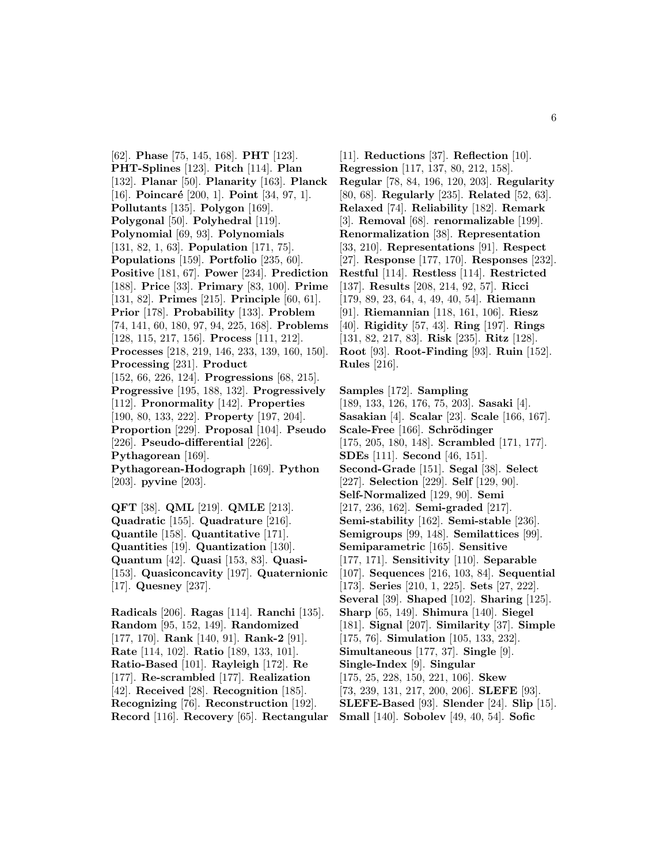[62]. **Phase** [75, 145, 168]. **PHT** [123]. **PHT-Splines** [123]. **Pitch** [114]. **Plan** [132]. **Planar** [50]. **Planarity** [163]. **Planck** [16]. **Poincaré** [200, 1]. **Point** [34, 97, 1]. **Pollutants** [135]. **Polygon** [169]. **Polygonal** [50]. **Polyhedral** [119]. **Polynomial** [69, 93]. **Polynomials** [131, 82, 1, 63]. **Population** [171, 75]. **Populations** [159]. **Portfolio** [235, 60]. **Positive** [181, 67]. **Power** [234]. **Prediction** [188]. **Price** [33]. **Primary** [83, 100]. **Prime** [131, 82]. **Primes** [215]. **Principle** [60, 61]. **Prior** [178]. **Probability** [133]. **Problem** [74, 141, 60, 180, 97, 94, 225, 168]. **Problems** [128, 115, 217, 156]. **Process** [111, 212]. **Processes** [218, 219, 146, 233, 139, 160, 150]. **Processing** [231]. **Product** [152, 66, 226, 124]. **Progressions** [68, 215]. **Progressive** [195, 188, 132]. **Progressively** [112]. **Pronormality** [142]. **Properties** [190, 80, 133, 222]. **Property** [197, 204]. **Proportion** [229]. **Proposal** [104]. **Pseudo** [226]. **Pseudo-differential** [226]. **Pythagorean** [169]. **Pythagorean-Hodograph** [169]. **Python** [203]. **pyvine** [203]. **QFT** [38]. **QML** [219]. **QMLE** [213].

**Quadratic** [155]. **Quadrature** [216]. **Quantile** [158]. **Quantitative** [171]. **Quantities** [19]. **Quantization** [130]. **Quantum** [42]. **Quasi** [153, 83]. **Quasi-** [153]. **Quasiconcavity** [197]. **Quaternionic** [17]. **Quesney** [237].

**Radicals** [206]. **Ragas** [114]. **Ranchi** [135]. **Random** [95, 152, 149]. **Randomized** [177, 170]. **Rank** [140, 91]. **Rank-2** [91]. **Rate** [114, 102]. **Ratio** [189, 133, 101]. **Ratio-Based** [101]. **Rayleigh** [172]. **Re** [177]. **Re-scrambled** [177]. **Realization** [42]. **Received** [28]. **Recognition** [185]. **Recognizing** [76]. **Reconstruction** [192]. **Record** [116]. **Recovery** [65]. **Rectangular**

[11]. **Reductions** [37]. **Reflection** [10]. **Regression** [117, 137, 80, 212, 158]. **Regular** [78, 84, 196, 120, 203]. **Regularity** [80, 68]. **Regularly** [235]. **Related** [52, 63]. **Relaxed** [74]. **Reliability** [182]. **Remark** [3]. **Removal** [68]. **renormalizable** [199]. **Renormalization** [38]. **Representation** [33, 210]. **Representations** [91]. **Respect** [27]. **Response** [177, 170]. **Responses** [232]. **Restful** [114]. **Restless** [114]. **Restricted** [137]. **Results** [208, 214, 92, 57]. **Ricci** [179, 89, 23, 64, 4, 49, 40, 54]. **Riemann** [91]. **Riemannian** [118, 161, 106]. **Riesz** [40]. **Rigidity** [57, 43]. **Ring** [197]. **Rings** [131, 82, 217, 83]. **Risk** [235]. **Ritz** [128]. **Root** [93]. **Root-Finding** [93]. **Ruin** [152]. **Rules** [216].

**Samples** [172]. **Sampling** [189, 133, 126, 176, 75, 203]. **Sasaki** [4]. **Sasakian** [4]. **Scalar** [23]. **Scale** [166, 167]. **Scale-Free** [166]. **Schrödinger** [175, 205, 180, 148]. **Scrambled** [171, 177]. **SDEs** [111]. **Second** [46, 151]. **Second-Grade** [151]. **Segal** [38]. **Select** [227]. **Selection** [229]. **Self** [129, 90]. **Self-Normalized** [129, 90]. **Semi** [217, 236, 162]. **Semi-graded** [217]. **Semi-stability** [162]. **Semi-stable** [236]. **Semigroups** [99, 148]. **Semilattices** [99]. **Semiparametric** [165]. **Sensitive** [177, 171]. **Sensitivity** [110]. **Separable** [107]. **Sequences** [216, 103, 84]. **Sequential** [173]. **Series** [210, 1, 225]. **Sets** [27, 222]. **Several** [39]. **Shaped** [102]. **Sharing** [125]. **Sharp** [65, 149]. **Shimura** [140]. **Siegel** [181]. **Signal** [207]. **Similarity** [37]. **Simple** [175, 76]. **Simulation** [105, 133, 232]. **Simultaneous** [177, 37]. **Single** [9]. **Single-Index** [9]. **Singular** [175, 25, 228, 150, 221, 106]. **Skew** [73, 239, 131, 217, 200, 206]. **SLEFE** [93]. **SLEFE-Based** [93]. **Slender** [24]. **Slip** [15]. **Small** [140]. **Sobolev** [49, 40, 54]. **Sofic**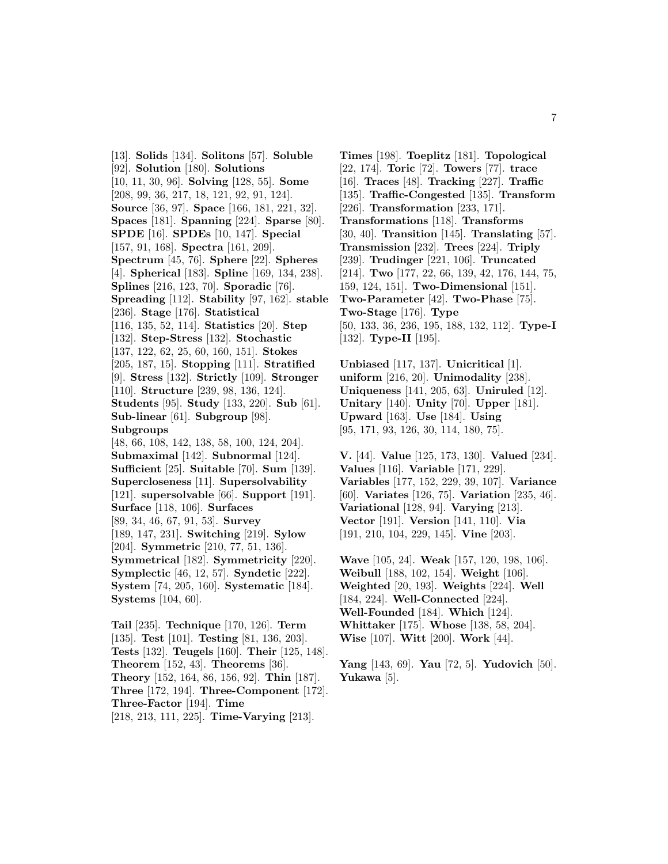[13]. **Solids** [134]. **Solitons** [57]. **Soluble** [92]. **Solution** [180]. **Solutions** [10, 11, 30, 96]. **Solving** [128, 55]. **Some** [208, 99, 36, 217, 18, 121, 92, 91, 124]. **Source** [36, 97]. **Space** [166, 181, 221, 32]. **Spaces** [181]. **Spanning** [224]. **Sparse** [80]. **SPDE** [16]. **SPDEs** [10, 147]. **Special** [157, 91, 168]. **Spectra** [161, 209]. **Spectrum** [45, 76]. **Sphere** [22]. **Spheres** [4]. **Spherical** [183]. **Spline** [169, 134, 238]. **Splines** [216, 123, 70]. **Sporadic** [76]. **Spreading** [112]. **Stability** [97, 162]. **stable** [236]. **Stage** [176]. **Statistical** [116, 135, 52, 114]. **Statistics** [20]. **Step** [132]. **Step-Stress** [132]. **Stochastic** [137, 122, 62, 25, 60, 160, 151]. **Stokes** [205, 187, 15]. **Stopping** [111]. **Stratified** [9]. **Stress** [132]. **Strictly** [109]. **Stronger** [110]. **Structure** [239, 98, 136, 124]. **Students** [95]. **Study** [133, 220]. **Sub** [61]. **Sub-linear** [61]. **Subgroup** [98]. **Subgroups** [48, 66, 108, 142, 138, 58, 100, 124, 204]. **Submaximal** [142]. **Subnormal** [124]. **Sufficient** [25]. **Suitable** [70]. **Sum** [139]. **Supercloseness** [11]. **Supersolvability** [121]. **supersolvable** [66]. **Support** [191]. **Surface** [118, 106]. **Surfaces** [89, 34, 46, 67, 91, 53]. **Survey** [189, 147, 231]. **Switching** [219]. **Sylow** [204]. **Symmetric** [210, 77, 51, 136]. **Symmetrical** [182]. **Symmetricity** [220]. **Symplectic** [46, 12, 57]. **Syndetic** [222]. **System** [74, 205, 160]. **Systematic** [184]. **Systems** [104, 60]. **Tail** [235]. **Technique** [170, 126]. **Term**

[135]. **Test** [101]. **Testing** [81, 136, 203]. **Tests** [132]. **Teugels** [160]. **Their** [125, 148]. **Theorem** [152, 43]. **Theorems** [36]. **Theory** [152, 164, 86, 156, 92]. **Thin** [187]. **Three** [172, 194]. **Three-Component** [172]. **Three-Factor** [194]. **Time** [218, 213, 111, 225]. **Time-Varying** [213].

**Times** [198]. **Toeplitz** [181]. **Topological** [22, 174]. **Toric** [72]. **Towers** [77]. **trace** [16]. **Traces** [48]. **Tracking** [227]. **Traffic** [135]. **Traffic-Congested** [135]. **Transform** [226]. **Transformation** [233, 171]. **Transformations** [118]. **Transforms** [30, 40]. **Transition** [145]. **Translating** [57]. **Transmission** [232]. **Trees** [224]. **Triply** [239]. **Trudinger** [221, 106]. **Truncated** [214]. **Two** [177, 22, 66, 139, 42, 176, 144, 75, 159, 124, 151]. **Two-Dimensional** [151]. **Two-Parameter** [42]. **Two-Phase** [75]. **Two-Stage** [176]. **Type** [50, 133, 36, 236, 195, 188, 132, 112]. **Type-I** [132]. **Type-II** [195].

**Unbiased** [117, 137]. **Unicritical** [1]. **uniform** [216, 20]. **Unimodality** [238]. **Uniqueness** [141, 205, 63]. **Uniruled** [12]. **Unitary** [140]. **Unity** [70]. **Upper** [181]. **Upward** [163]. **Use** [184]. **Using** [95, 171, 93, 126, 30, 114, 180, 75].

**V.** [44]. **Value** [125, 173, 130]. **Valued** [234]. **Values** [116]. **Variable** [171, 229]. **Variables** [177, 152, 229, 39, 107]. **Variance** [60]. **Variates** [126, 75]. **Variation** [235, 46]. **Variational** [128, 94]. **Varying** [213]. **Vector** [191]. **Version** [141, 110]. **Via** [191, 210, 104, 229, 145]. **Vine** [203].

**Wave** [105, 24]. **Weak** [157, 120, 198, 106]. **Weibull** [188, 102, 154]. **Weight** [106]. **Weighted** [20, 193]. **Weights** [224]. **Well** [184, 224]. **Well-Connected** [224]. **Well-Founded** [184]. **Which** [124]. **Whittaker** [175]. **Whose** [138, 58, 204]. **Wise** [107]. **Witt** [200]. **Work** [44].

**Yang** [143, 69]. **Yau** [72, 5]. **Yudovich** [50]. **Yukawa** [5].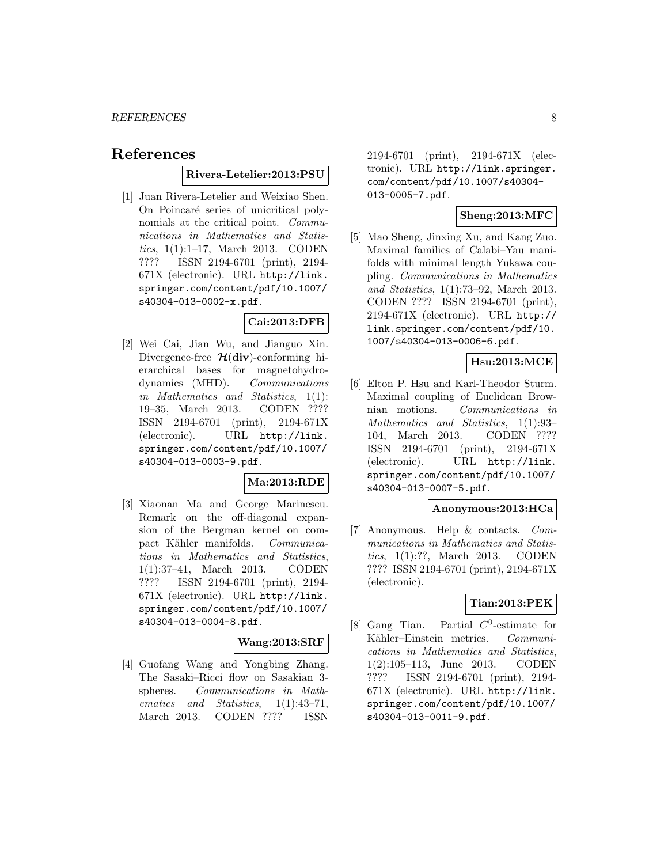# **References**

### **Rivera-Letelier:2013:PSU**

[1] Juan Rivera-Letelier and Weixiao Shen. On Poincaré series of unicritical polynomials at the critical point. *Commu*nications in Mathematics and Statistics, 1(1):1–17, March 2013. CODEN ???? ISSN 2194-6701 (print), 2194- 671X (electronic). URL http://link. springer.com/content/pdf/10.1007/ s40304-013-0002-x.pdf.

# **Cai:2013:DFB**

[2] Wei Cai, Jian Wu, and Jianguo Xin. Divergence-free *H*(**div**)-conforming hierarchical bases for magnetohydrodynamics (MHD). Communications in Mathematics and Statistics, 1(1): 19–35, March 2013. CODEN ???? ISSN 2194-6701 (print), 2194-671X (electronic). URL http://link. springer.com/content/pdf/10.1007/ s40304-013-0003-9.pdf.

# **Ma:2013:RDE**

[3] Xiaonan Ma and George Marinescu. Remark on the off-diagonal expansion of the Bergman kernel on compact Kähler manifolds. Communications in Mathematics and Statistics, 1(1):37–41, March 2013. CODEN ???? ISSN 2194-6701 (print), 2194- 671X (electronic). URL http://link. springer.com/content/pdf/10.1007/ s40304-013-0004-8.pdf.

### **Wang:2013:SRF**

[4] Guofang Wang and Yongbing Zhang. The Sasaki–Ricci flow on Sasakian 3 spheres. Communications in Mathematics and Statistics,  $1(1):43-71$ , March 2013. CODEN ???? ISSN

2194-6701 (print), 2194-671X (electronic). URL http://link.springer. com/content/pdf/10.1007/s40304- 013-0005-7.pdf.

# **Sheng:2013:MFC**

[5] Mao Sheng, Jinxing Xu, and Kang Zuo. Maximal families of Calabi–Yau manifolds with minimal length Yukawa coupling. Communications in Mathematics and Statistics, 1(1):73–92, March 2013. CODEN ???? ISSN 2194-6701 (print), 2194-671X (electronic). URL http:// link.springer.com/content/pdf/10. 1007/s40304-013-0006-6.pdf.

# **Hsu:2013:MCE**

[6] Elton P. Hsu and Karl-Theodor Sturm. Maximal coupling of Euclidean Brownian motions. Communications in Mathematics and Statistics, 1(1):93– 104, March 2013. CODEN ???? ISSN 2194-6701 (print), 2194-671X (electronic). URL http://link. springer.com/content/pdf/10.1007/ s40304-013-0007-5.pdf.

### **Anonymous:2013:HCa**

[7] Anonymous. Help & contacts. Communications in Mathematics and Statistics, 1(1):??, March 2013. CODEN ???? ISSN 2194-6701 (print), 2194-671X (electronic).

### **Tian:2013:PEK**

[8] Gang Tian. Partial  $C^0$ -estimate for Kähler–Einstein metrics. Communications in Mathematics and Statistics, 1(2):105–113, June 2013. CODEN ???? ISSN 2194-6701 (print), 2194- 671X (electronic). URL http://link. springer.com/content/pdf/10.1007/ s40304-013-0011-9.pdf.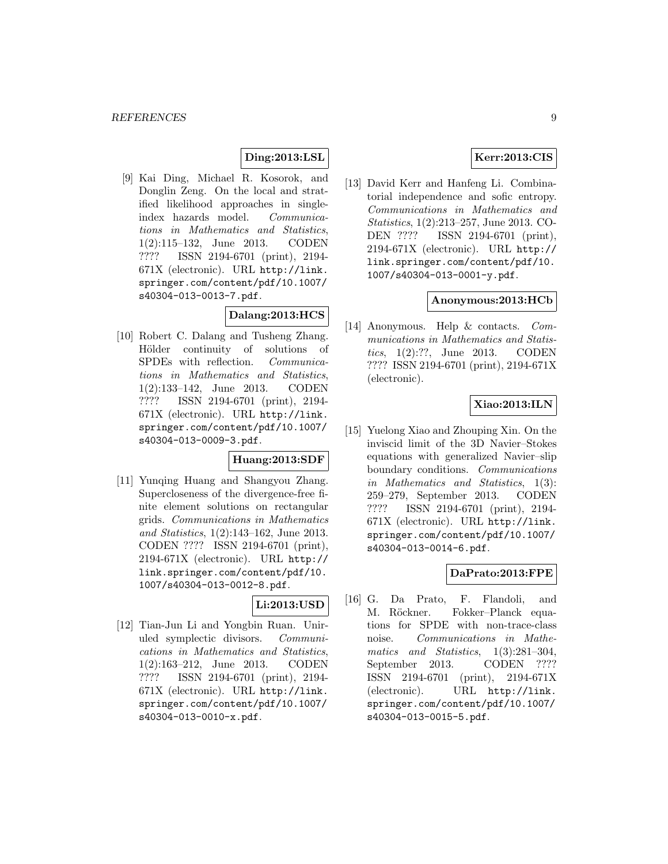# **Ding:2013:LSL**

[9] Kai Ding, Michael R. Kosorok, and Donglin Zeng. On the local and stratified likelihood approaches in singleindex hazards model. Communications in Mathematics and Statistics, 1(2):115–132, June 2013. CODEN ???? ISSN 2194-6701 (print), 2194- 671X (electronic). URL http://link. springer.com/content/pdf/10.1007/ s40304-013-0013-7.pdf.

# **Dalang:2013:HCS**

[10] Robert C. Dalang and Tusheng Zhang. Hölder continuity of solutions of SPDEs with reflection. Communications in Mathematics and Statistics, 1(2):133–142, June 2013. CODEN ???? ISSN 2194-6701 (print), 2194- 671X (electronic). URL http://link. springer.com/content/pdf/10.1007/ s40304-013-0009-3.pdf.

### **Huang:2013:SDF**

[11] Yunqing Huang and Shangyou Zhang. Supercloseness of the divergence-free finite element solutions on rectangular grids. Communications in Mathematics and Statistics, 1(2):143–162, June 2013. CODEN ???? ISSN 2194-6701 (print), 2194-671X (electronic). URL http:// link.springer.com/content/pdf/10. 1007/s40304-013-0012-8.pdf.

# **Li:2013:USD**

[12] Tian-Jun Li and Yongbin Ruan. Uniruled symplectic divisors. Communications in Mathematics and Statistics, 1(2):163–212, June 2013. CODEN ???? ISSN 2194-6701 (print), 2194- 671X (electronic). URL http://link. springer.com/content/pdf/10.1007/ s40304-013-0010-x.pdf.

# **Kerr:2013:CIS**

[13] David Kerr and Hanfeng Li. Combinatorial independence and sofic entropy. Communications in Mathematics and Statistics, 1(2):213–257, June 2013. CO-DEN ???? ISSN 2194-6701 (print), 2194-671X (electronic). URL http:// link.springer.com/content/pdf/10. 1007/s40304-013-0001-y.pdf.

### **Anonymous:2013:HCb**

[14] Anonymous. Help & contacts. Communications in Mathematics and Statistics, 1(2):??, June 2013. CODEN ???? ISSN 2194-6701 (print), 2194-671X (electronic).

### **Xiao:2013:ILN**

[15] Yuelong Xiao and Zhouping Xin. On the inviscid limit of the 3D Navier–Stokes equations with generalized Navier–slip boundary conditions. Communications in Mathematics and Statistics, 1(3): 259–279, September 2013. CODEN ???? ISSN 2194-6701 (print), 2194- 671X (electronic). URL http://link. springer.com/content/pdf/10.1007/ s40304-013-0014-6.pdf.

# **DaPrato:2013:FPE**

[16] G. Da Prato, F. Flandoli, and M. Röckner. Fokker–Planck equations for SPDE with non-trace-class noise. Communications in Mathematics and Statistics, 1(3):281-304, September 2013. CODEN ???? ISSN 2194-6701 (print), 2194-671X (electronic). URL http://link. springer.com/content/pdf/10.1007/ s40304-013-0015-5.pdf.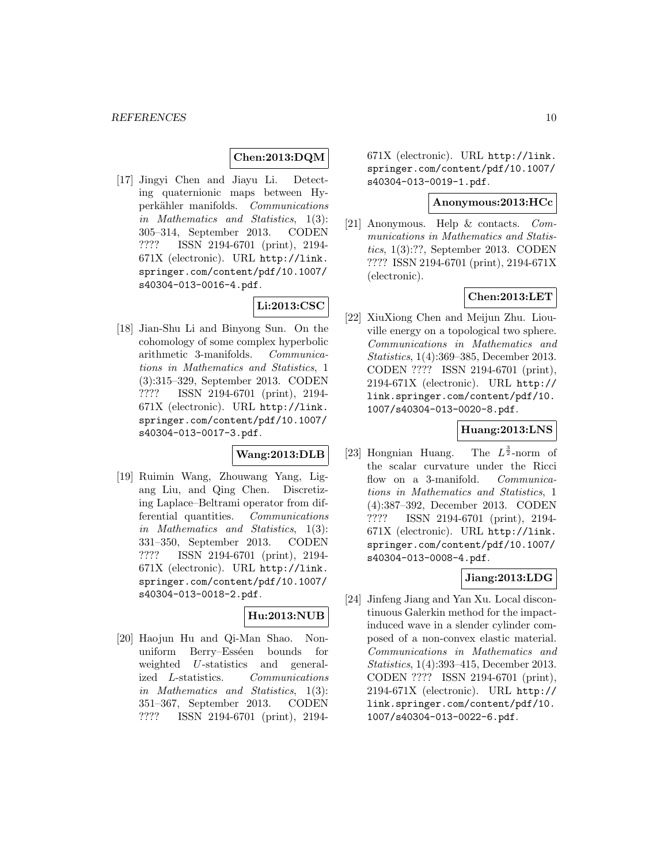# **Chen:2013:DQM**

[17] Jingyi Chen and Jiayu Li. Detecting quaternionic maps between Hyperkähler manifolds. Communications in Mathematics and Statistics, 1(3): 305–314, September 2013. CODEN ???? ISSN 2194-6701 (print), 2194- 671X (electronic). URL http://link. springer.com/content/pdf/10.1007/ s40304-013-0016-4.pdf.

# **Li:2013:CSC**

[18] Jian-Shu Li and Binyong Sun. On the cohomology of some complex hyperbolic arithmetic 3-manifolds. Communications in Mathematics and Statistics, 1 (3):315–329, September 2013. CODEN ???? ISSN 2194-6701 (print), 2194- 671X (electronic). URL http://link. springer.com/content/pdf/10.1007/ s40304-013-0017-3.pdf.

# **Wang:2013:DLB**

[19] Ruimin Wang, Zhouwang Yang, Ligang Liu, and Qing Chen. Discretizing Laplace–Beltrami operator from differential quantities. Communications in Mathematics and Statistics, 1(3): 331–350, September 2013. CODEN ???? ISSN 2194-6701 (print), 2194- 671X (electronic). URL http://link. springer.com/content/pdf/10.1007/ s40304-013-0018-2.pdf.

# **Hu:2013:NUB**

[20] Haojun Hu and Qi-Man Shao. Nonuniform Berry–Esséen bounds for weighted U-statistics and generalized L-statistics. Communications in Mathematics and Statistics, 1(3): 351–367, September 2013. CODEN ???? ISSN 2194-6701 (print), 2194671X (electronic). URL http://link. springer.com/content/pdf/10.1007/ s40304-013-0019-1.pdf.

### **Anonymous:2013:HCc**

[21] Anonymous. Help & contacts. Communications in Mathematics and Statistics, 1(3):??, September 2013. CODEN ???? ISSN 2194-6701 (print), 2194-671X (electronic).

### **Chen:2013:LET**

[22] XiuXiong Chen and Meijun Zhu. Liouville energy on a topological two sphere. Communications in Mathematics and Statistics, 1(4):369–385, December 2013. CODEN ???? ISSN 2194-6701 (print), 2194-671X (electronic). URL http:// link.springer.com/content/pdf/10. 1007/s40304-013-0020-8.pdf.

### **Huang:2013:LNS**

 $[23]$  Hongnian Huang. The  $L^{\frac{3}{2}}$ -norm of the scalar curvature under the Ricci flow on a 3-manifold. Communications in Mathematics and Statistics, 1 (4):387–392, December 2013. CODEN ???? ISSN 2194-6701 (print), 2194- 671X (electronic). URL http://link. springer.com/content/pdf/10.1007/ s40304-013-0008-4.pdf.

### **Jiang:2013:LDG**

[24] Jinfeng Jiang and Yan Xu. Local discontinuous Galerkin method for the impactinduced wave in a slender cylinder composed of a non-convex elastic material. Communications in Mathematics and Statistics, 1(4):393–415, December 2013. CODEN ???? ISSN 2194-6701 (print), 2194-671X (electronic). URL http:// link.springer.com/content/pdf/10. 1007/s40304-013-0022-6.pdf.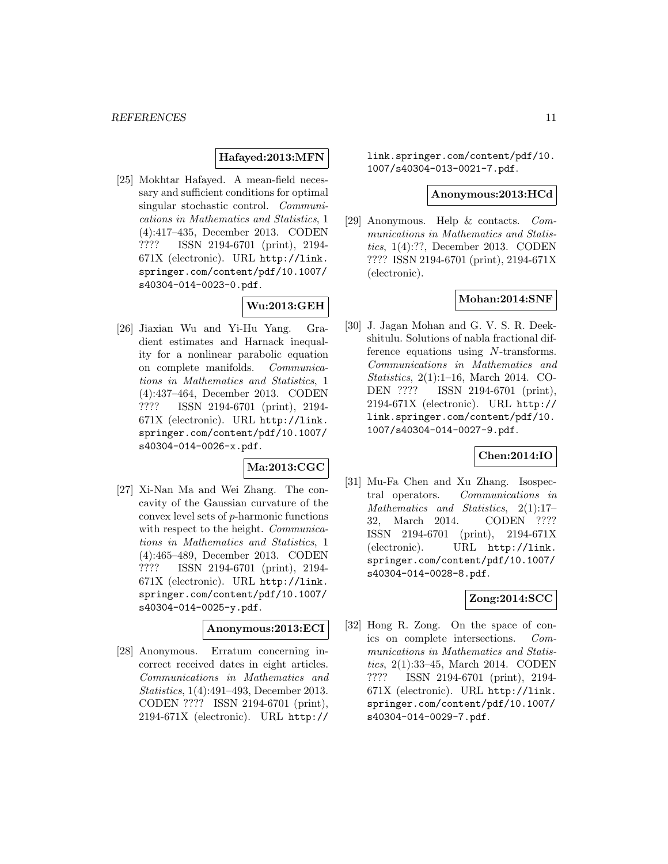### **Hafayed:2013:MFN**

[25] Mokhtar Hafayed. A mean-field necessary and sufficient conditions for optimal singular stochastic control. Communications in Mathematics and Statistics, 1 (4):417–435, December 2013. CODEN ???? ISSN 2194-6701 (print), 2194- 671X (electronic). URL http://link. springer.com/content/pdf/10.1007/ s40304-014-0023-0.pdf.

# **Wu:2013:GEH**

[26] Jiaxian Wu and Yi-Hu Yang. Gradient estimates and Harnack inequality for a nonlinear parabolic equation on complete manifolds. Communications in Mathematics and Statistics, 1 (4):437–464, December 2013. CODEN ???? ISSN 2194-6701 (print), 2194- 671X (electronic). URL http://link. springer.com/content/pdf/10.1007/ s40304-014-0026-x.pdf.

# **Ma:2013:CGC**

[27] Xi-Nan Ma and Wei Zhang. The concavity of the Gaussian curvature of the convex level sets of  $p$ -harmonic functions with respect to the height. *Communica*tions in Mathematics and Statistics, 1 (4):465–489, December 2013. CODEN ???? ISSN 2194-6701 (print), 2194- 671X (electronic). URL http://link. springer.com/content/pdf/10.1007/ s40304-014-0025-y.pdf.

# **Anonymous:2013:ECI**

[28] Anonymous. Erratum concerning incorrect received dates in eight articles. Communications in Mathematics and Statistics, 1(4):491–493, December 2013. CODEN ???? ISSN 2194-6701 (print), 2194-671X (electronic). URL http://

link.springer.com/content/pdf/10. 1007/s40304-013-0021-7.pdf.

#### **Anonymous:2013:HCd**

[29] Anonymous. Help & contacts. Communications in Mathematics and Statistics, 1(4):??, December 2013. CODEN ???? ISSN 2194-6701 (print), 2194-671X (electronic).

### **Mohan:2014:SNF**

[30] J. Jagan Mohan and G. V. S. R. Deekshitulu. Solutions of nabla fractional difference equations using N-transforms. Communications in Mathematics and Statistics, 2(1):1–16, March 2014. CO-DEN ???? ISSN 2194-6701 (print), 2194-671X (electronic). URL http:// link.springer.com/content/pdf/10. 1007/s40304-014-0027-9.pdf.

# **Chen:2014:IO**

[31] Mu-Fa Chen and Xu Zhang. Isospectral operators. Communications in Mathematics and Statistics, 2(1):17– 32, March 2014. CODEN ???? ISSN 2194-6701 (print), 2194-671X (electronic). URL http://link. springer.com/content/pdf/10.1007/ s40304-014-0028-8.pdf.

# **Zong:2014:SCC**

[32] Hong R. Zong. On the space of conics on complete intersections. Communications in Mathematics and Statistics, 2(1):33–45, March 2014. CODEN ???? ISSN 2194-6701 (print), 2194- 671X (electronic). URL http://link. springer.com/content/pdf/10.1007/ s40304-014-0029-7.pdf.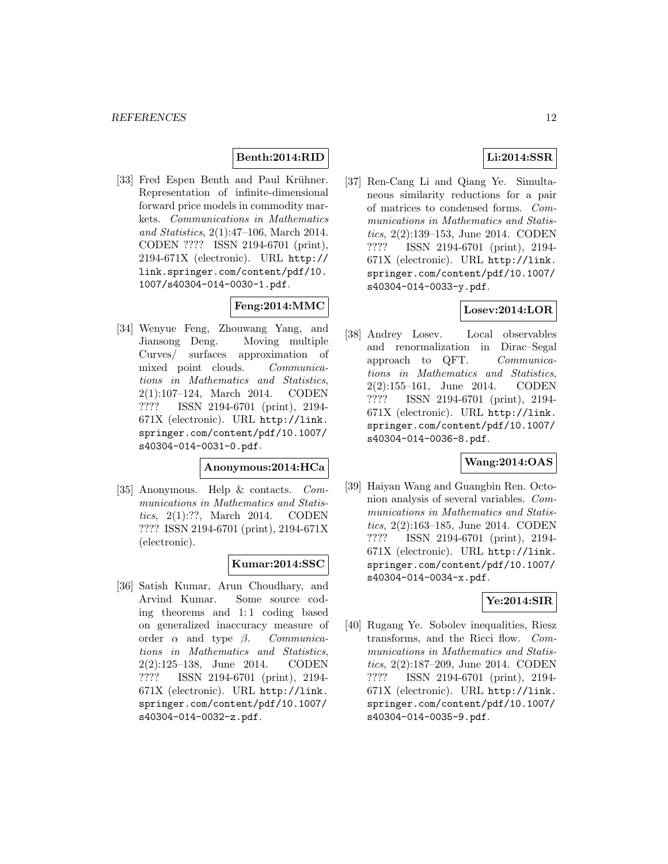# **Benth:2014:RID**

[33] Fred Espen Benth and Paul Krühner. Representation of infinite-dimensional forward price models in commodity markets. Communications in Mathematics and Statistics, 2(1):47–106, March 2014. CODEN ???? ISSN 2194-6701 (print), 2194-671X (electronic). URL http:// link.springer.com/content/pdf/10. 1007/s40304-014-0030-1.pdf.

# **Feng:2014:MMC**

[34] Wenyue Feng, Zhouwang Yang, and Jiansong Deng. Moving multiple Curves/ surfaces approximation of mixed point clouds. Communications in Mathematics and Statistics, 2(1):107–124, March 2014. CODEN ???? ISSN 2194-6701 (print), 2194- 671X (electronic). URL http://link. springer.com/content/pdf/10.1007/ s40304-014-0031-0.pdf.

# **Anonymous:2014:HCa**

[35] Anonymous. Help & contacts. Communications in Mathematics and Statistics, 2(1):??, March 2014. CODEN ???? ISSN 2194-6701 (print), 2194-671X (electronic).

### **Kumar:2014:SSC**

[36] Satish Kumar, Arun Choudhary, and Arvind Kumar. Some source coding theorems and 1:1 coding based on generalized inaccuracy measure of order  $\alpha$  and type  $\beta$ . Communications in Mathematics and Statistics, 2(2):125–138, June 2014. CODEN ???? ISSN 2194-6701 (print), 2194- 671X (electronic). URL http://link. springer.com/content/pdf/10.1007/ s40304-014-0032-z.pdf.

# **Li:2014:SSR**

[37] Ren-Cang Li and Qiang Ye. Simultaneous similarity reductions for a pair of matrices to condensed forms. Communications in Mathematics and Statistics, 2(2):139–153, June 2014. CODEN ???? ISSN 2194-6701 (print), 2194- 671X (electronic). URL http://link. springer.com/content/pdf/10.1007/ s40304-014-0033-y.pdf.

# **Losev:2014:LOR**

[38] Andrey Losev. Local observables and renormalization in Dirac–Segal approach to QFT. Communications in Mathematics and Statistics, 2(2):155–161, June 2014. CODEN ???? ISSN 2194-6701 (print), 2194- 671X (electronic). URL http://link. springer.com/content/pdf/10.1007/ s40304-014-0036-8.pdf.

# **Wang:2014:OAS**

[39] Haiyan Wang and Guangbin Ren. Octonion analysis of several variables. Communications in Mathematics and Statistics, 2(2):163–185, June 2014. CODEN ???? ISSN 2194-6701 (print), 2194- 671X (electronic). URL http://link. springer.com/content/pdf/10.1007/ s40304-014-0034-x.pdf.

### **Ye:2014:SIR**

[40] Rugang Ye. Sobolev inequalities, Riesz transforms, and the Ricci flow. Communications in Mathematics and Statistics, 2(2):187–209, June 2014. CODEN ???? ISSN 2194-6701 (print), 2194- 671X (electronic). URL http://link. springer.com/content/pdf/10.1007/ s40304-014-0035-9.pdf.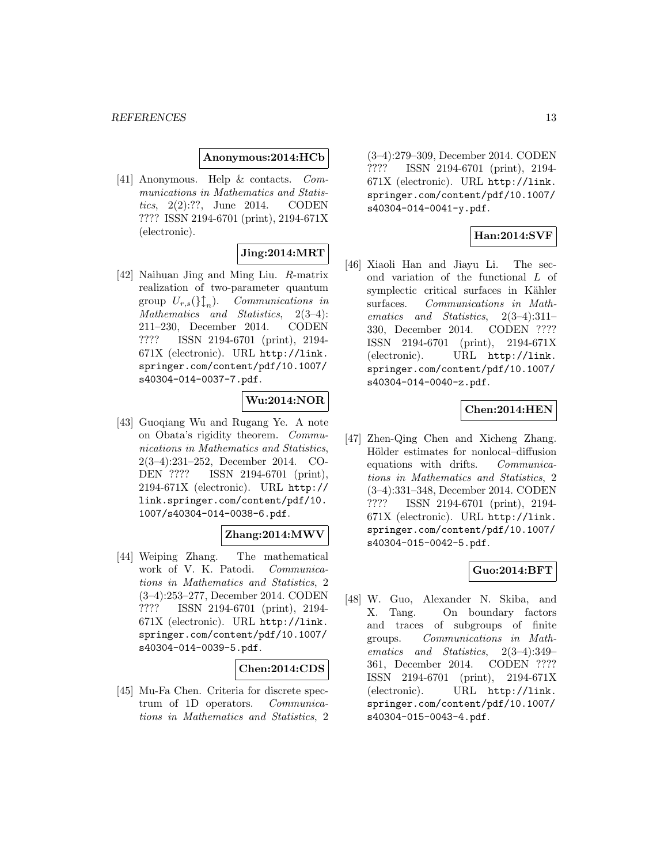#### **Anonymous:2014:HCb**

[41] Anonymous. Help & contacts. Communications in Mathematics and Statistics, 2(2):??, June 2014. CODEN ???? ISSN 2194-6701 (print), 2194-671X (electronic).

# **Jing:2014:MRT**

[42] Naihuan Jing and Ming Liu. R-matrix realization of two-parameter quantum group  $U_{r,s}(\mathcal{G})$ <sub>n</sub>). Communications in Mathematics and Statistics, 2(3–4): 211–230, December 2014. CODEN ???? ISSN 2194-6701 (print), 2194- 671X (electronic). URL http://link. springer.com/content/pdf/10.1007/ s40304-014-0037-7.pdf.

### **Wu:2014:NOR**

[43] Guoqiang Wu and Rugang Ye. A note on Obata's rigidity theorem. Communications in Mathematics and Statistics, 2(3–4):231–252, December 2014. CO-DEN ???? ISSN 2194-6701 (print), 2194-671X (electronic). URL http:// link.springer.com/content/pdf/10. 1007/s40304-014-0038-6.pdf.

#### **Zhang:2014:MWV**

[44] Weiping Zhang. The mathematical work of V. K. Patodi. Communications in Mathematics and Statistics, 2 (3–4):253–277, December 2014. CODEN ???? ISSN 2194-6701 (print), 2194- 671X (electronic). URL http://link. springer.com/content/pdf/10.1007/ s40304-014-0039-5.pdf.

### **Chen:2014:CDS**

[45] Mu-Fa Chen. Criteria for discrete spectrum of 1D operators. Communications in Mathematics and Statistics, 2 (3–4):279–309, December 2014. CODEN ???? ISSN 2194-6701 (print), 2194- 671X (electronic). URL http://link. springer.com/content/pdf/10.1007/ s40304-014-0041-y.pdf.

# **Han:2014:SVF**

[46] Xiaoli Han and Jiayu Li. The second variation of the functional L of symplectic critical surfaces in Kähler surfaces. Communications in Mathematics and Statistics, 2(3–4):311– 330, December 2014. CODEN ???? ISSN 2194-6701 (print), 2194-671X (electronic). URL http://link. springer.com/content/pdf/10.1007/ s40304-014-0040-z.pdf.

### **Chen:2014:HEN**

[47] Zhen-Qing Chen and Xicheng Zhang. Hölder estimates for nonlocal–diffusion equations with drifts. Communications in Mathematics and Statistics, 2 (3–4):331–348, December 2014. CODEN ???? ISSN 2194-6701 (print), 2194- 671X (electronic). URL http://link. springer.com/content/pdf/10.1007/ s40304-015-0042-5.pdf.

# **Guo:2014:BFT**

[48] W. Guo, Alexander N. Skiba, and X. Tang. On boundary factors and traces of subgroups of finite groups. Communications in Mathematics and Statistics, 2(3–4):349– 361, December 2014. CODEN ???? ISSN 2194-6701 (print), 2194-671X (electronic). URL http://link. springer.com/content/pdf/10.1007/ s40304-015-0043-4.pdf.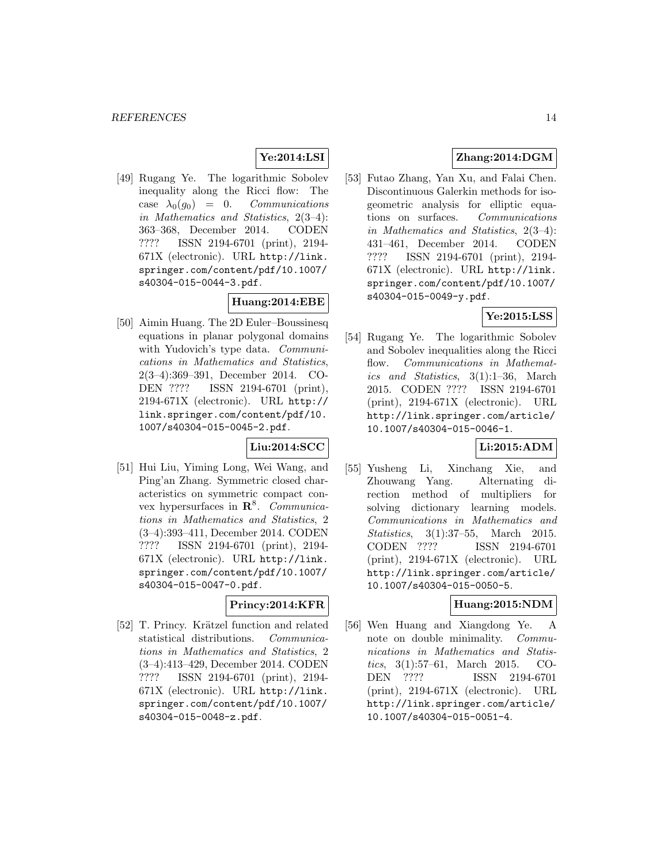# **Ye:2014:LSI**

[49] Rugang Ye. The logarithmic Sobolev inequality along the Ricci flow: The case  $\lambda_0(g_0) = 0$ . Communications in Mathematics and Statistics, 2(3–4): 363–368, December 2014. CODEN ???? ISSN 2194-6701 (print), 2194- 671X (electronic). URL http://link. springer.com/content/pdf/10.1007/ s40304-015-0044-3.pdf.

# **Huang:2014:EBE**

[50] Aimin Huang. The 2D Euler–Boussinesq equations in planar polygonal domains with Yudovich's type data. *Communi*cations in Mathematics and Statistics, 2(3–4):369–391, December 2014. CO-DEN ???? ISSN 2194-6701 (print), 2194-671X (electronic). URL http:// link.springer.com/content/pdf/10. 1007/s40304-015-0045-2.pdf.

# **Liu:2014:SCC**

[51] Hui Liu, Yiming Long, Wei Wang, and Ping'an Zhang. Symmetric closed characteristics on symmetric compact convex hypersurfaces in **R**<sup>8</sup>. Communications in Mathematics and Statistics, 2 (3–4):393–411, December 2014. CODEN ???? ISSN 2194-6701 (print), 2194- 671X (electronic). URL http://link. springer.com/content/pdf/10.1007/ s40304-015-0047-0.pdf.

# **Princy:2014:KFR**

[52] T. Princy. Krätzel function and related statistical distributions. Communications in Mathematics and Statistics, 2 (3–4):413–429, December 2014. CODEN ???? ISSN 2194-6701 (print), 2194- 671X (electronic). URL http://link. springer.com/content/pdf/10.1007/ s40304-015-0048-z.pdf.

# **Zhang:2014:DGM**

[53] Futao Zhang, Yan Xu, and Falai Chen. Discontinuous Galerkin methods for isogeometric analysis for elliptic equations on surfaces. Communications in Mathematics and Statistics, 2(3–4): 431–461, December 2014. CODEN ???? ISSN 2194-6701 (print), 2194- 671X (electronic). URL http://link. springer.com/content/pdf/10.1007/ s40304-015-0049-y.pdf.

# **Ye:2015:LSS**

[54] Rugang Ye. The logarithmic Sobolev and Sobolev inequalities along the Ricci flow. Communications in Mathematics and Statistics, 3(1):1–36, March 2015. CODEN ???? ISSN 2194-6701 (print), 2194-671X (electronic). URL http://link.springer.com/article/ 10.1007/s40304-015-0046-1.

# **Li:2015:ADM**

[55] Yusheng Li, Xinchang Xie, and Zhouwang Yang. Alternating direction method of multipliers for solving dictionary learning models. Communications in Mathematics and Statistics, 3(1):37–55, March 2015.<br>CODEN ???? ISSN 2194-6701 ISSN 2194-6701 (print), 2194-671X (electronic). URL http://link.springer.com/article/ 10.1007/s40304-015-0050-5.

# **Huang:2015:NDM**

[56] Wen Huang and Xiangdong Ye. A note on double minimality. Communications in Mathematics and Statistics, 3(1):57–61, March 2015. CO-DEN ???? ISSN 2194-6701 (print), 2194-671X (electronic). URL http://link.springer.com/article/ 10.1007/s40304-015-0051-4.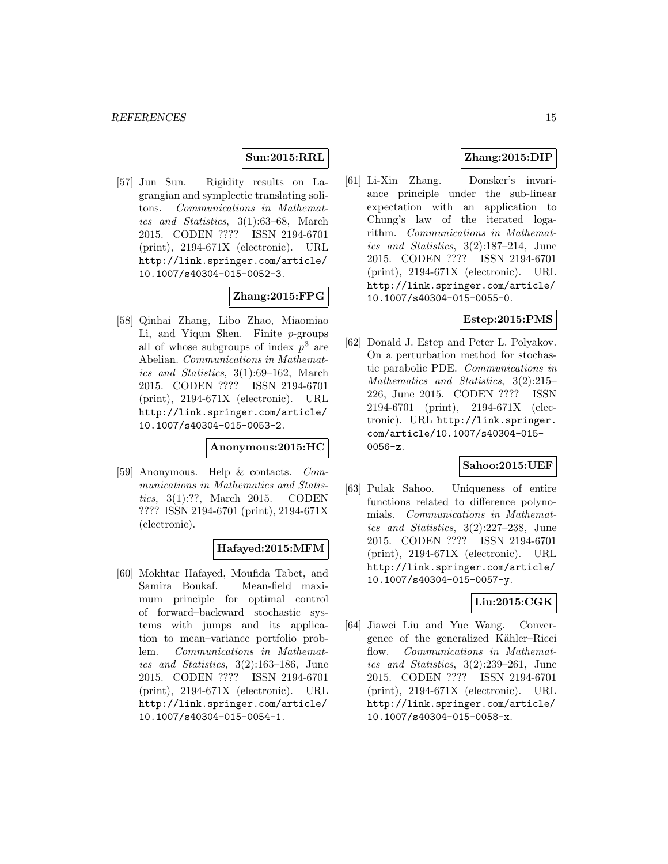### **Sun:2015:RRL**

[57] Jun Sun. Rigidity results on Lagrangian and symplectic translating solitons. Communications in Mathematics and Statistics, 3(1):63–68, March 2015. CODEN ???? ISSN 2194-6701 (print), 2194-671X (electronic). URL http://link.springer.com/article/ 10.1007/s40304-015-0052-3.

# **Zhang:2015:FPG**

[58] Qinhai Zhang, Libo Zhao, Miaomiao Li, and Yiqun Shen. Finite p-groups all of whose subgroups of index  $p^3$  are Abelian. Communications in Mathematics and Statistics, 3(1):69–162, March 2015. CODEN ???? ISSN 2194-6701 (print), 2194-671X (electronic). URL http://link.springer.com/article/ 10.1007/s40304-015-0053-2.

# **Anonymous:2015:HC**

[59] Anonymous. Help & contacts. Communications in Mathematics and Statistics, 3(1):??, March 2015. CODEN ???? ISSN 2194-6701 (print), 2194-671X (electronic).

### **Hafayed:2015:MFM**

[60] Mokhtar Hafayed, Moufida Tabet, and Samira Boukaf. Mean-field maximum principle for optimal control of forward–backward stochastic systems with jumps and its application to mean–variance portfolio problem. Communications in Mathematics and Statistics, 3(2):163–186, June 2015. CODEN ???? ISSN 2194-6701 (print), 2194-671X (electronic). URL http://link.springer.com/article/ 10.1007/s40304-015-0054-1.

# **Zhang:2015:DIP**

[61] Li-Xin Zhang. Donsker's invariance principle under the sub-linear expectation with an application to Chung's law of the iterated logarithm. Communications in Mathematics and Statistics, 3(2):187–214, June 2015. CODEN ???? ISSN 2194-6701 (print), 2194-671X (electronic). URL http://link.springer.com/article/ 10.1007/s40304-015-0055-0.

# **Estep:2015:PMS**

[62] Donald J. Estep and Peter L. Polyakov. On a perturbation method for stochastic parabolic PDE. Communications in Mathematics and Statistics, 3(2):215– 226, June 2015. CODEN ???? ISSN 2194-6701 (print), 2194-671X (electronic). URL http://link.springer. com/article/10.1007/s40304-015- 0056-z.

### **Sahoo:2015:UEF**

[63] Pulak Sahoo. Uniqueness of entire functions related to difference polynomials. Communications in Mathematics and Statistics, 3(2):227–238, June 2015. CODEN ???? ISSN 2194-6701 (print), 2194-671X (electronic). URL http://link.springer.com/article/ 10.1007/s40304-015-0057-y.

### **Liu:2015:CGK**

[64] Jiawei Liu and Yue Wang. Convergence of the generalized Kähler–Ricci flow. Communications in Mathematics and Statistics, 3(2):239–261, June 2015. CODEN ???? ISSN 2194-6701 (print), 2194-671X (electronic). URL http://link.springer.com/article/ 10.1007/s40304-015-0058-x.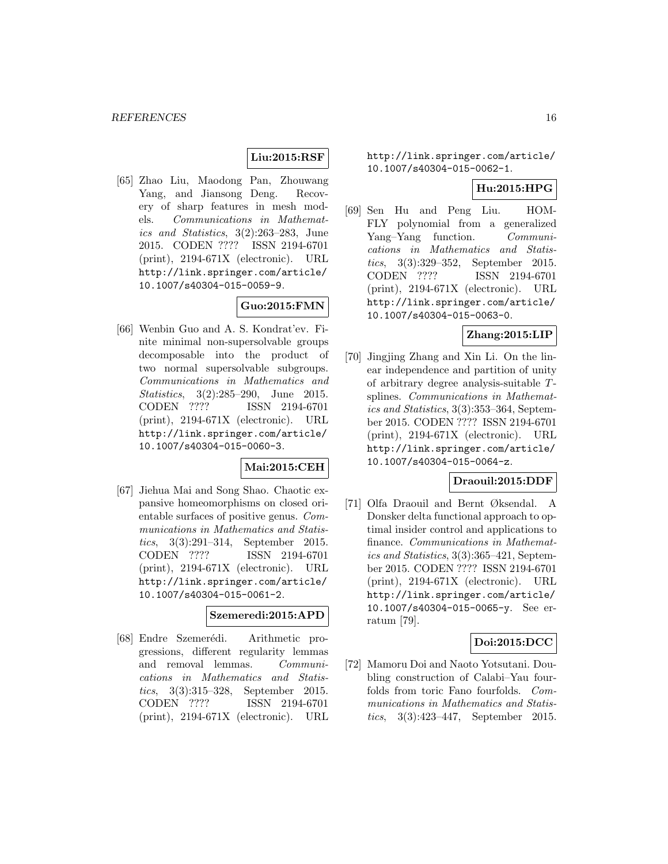# **Liu:2015:RSF**

[65] Zhao Liu, Maodong Pan, Zhouwang Yang, and Jiansong Deng. Recovery of sharp features in mesh models. Communications in Mathematics and Statistics, 3(2):263–283, June 2015. CODEN ???? ISSN 2194-6701 (print), 2194-671X (electronic). URL http://link.springer.com/article/ 10.1007/s40304-015-0059-9.

# **Guo:2015:FMN**

[66] Wenbin Guo and A. S. Kondrat'ev. Finite minimal non-supersolvable groups decomposable into the product of two normal supersolvable subgroups. Communications in Mathematics and Statistics, 3(2):285–290, June 2015. CODEN ???? ISSN 2194-6701 (print), 2194-671X (electronic). URL http://link.springer.com/article/ 10.1007/s40304-015-0060-3.

### **Mai:2015:CEH**

[67] Jiehua Mai and Song Shao. Chaotic expansive homeomorphisms on closed orientable surfaces of positive genus. Communications in Mathematics and Statistics, 3(3):291–314, September 2015. CODEN ???? ISSN 2194-6701 (print), 2194-671X (electronic). URL http://link.springer.com/article/ 10.1007/s40304-015-0061-2.

### **Szemeredi:2015:APD**

[68] Endre Szemerédi. Arithmetic progressions, different regularity lemmas and removal lemmas. Communications in Mathematics and Statistics, 3(3):315–328, September 2015. CODEN ???? ISSN 2194-6701 (print), 2194-671X (electronic). URL http://link.springer.com/article/ 10.1007/s40304-015-0062-1.

# **Hu:2015:HPG**

[69] Sen Hu and Peng Liu. HOM-FLY polynomial from a generalized Yang–Yang function. Communications in Mathematics and Statistics, 3(3):329–352, September 2015. CODEN ???? ISSN 2194-6701 (print), 2194-671X (electronic). URL http://link.springer.com/article/ 10.1007/s40304-015-0063-0.

# **Zhang:2015:LIP**

[70] Jingjing Zhang and Xin Li. On the linear independence and partition of unity of arbitrary degree analysis-suitable Tsplines. Communications in Mathematics and Statistics, 3(3):353–364, September 2015. CODEN ???? ISSN 2194-6701 (print), 2194-671X (electronic). URL http://link.springer.com/article/ 10.1007/s40304-015-0064-z.

### **Draouil:2015:DDF**

[71] Olfa Draouil and Bernt Øksendal. A Donsker delta functional approach to optimal insider control and applications to finance. Communications in Mathematics and Statistics, 3(3):365–421, September 2015. CODEN ???? ISSN 2194-6701 (print), 2194-671X (electronic). URL http://link.springer.com/article/ 10.1007/s40304-015-0065-y. See erratum [79].

### **Doi:2015:DCC**

[72] Mamoru Doi and Naoto Yotsutani. Doubling construction of Calabi–Yau fourfolds from toric Fano fourfolds. Communications in Mathematics and Statistics, 3(3):423–447, September 2015.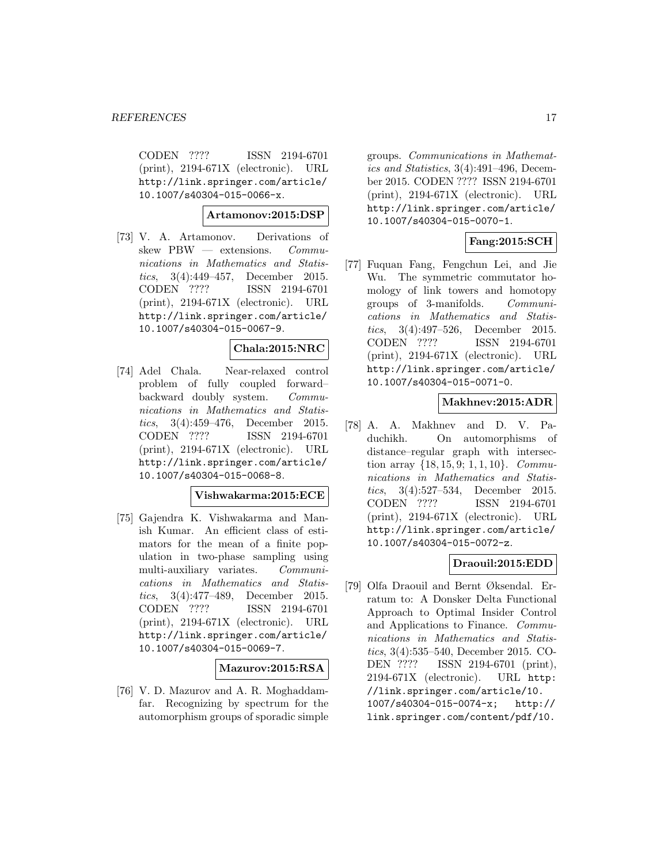CODEN ???? ISSN 2194-6701 (print), 2194-671X (electronic). URL http://link.springer.com/article/ 10.1007/s40304-015-0066-x.

# **Artamonov:2015:DSP**

[73] V. A. Artamonov. Derivations of skew PBW — extensions. Communications in Mathematics and Statistics, 3(4):449–457, December 2015. CODEN ???? ISSN 2194-6701 (print), 2194-671X (electronic). URL http://link.springer.com/article/ 10.1007/s40304-015-0067-9.

# **Chala:2015:NRC**

[74] Adel Chala. Near-relaxed control problem of fully coupled forward– backward doubly system. Communications in Mathematics and Statistics, 3(4):459–476, December 2015. CODEN ???? ISSN 2194-6701 (print), 2194-671X (electronic). URL http://link.springer.com/article/ 10.1007/s40304-015-0068-8.

### **Vishwakarma:2015:ECE**

[75] Gajendra K. Vishwakarma and Manish Kumar. An efficient class of estimators for the mean of a finite population in two-phase sampling using multi-auxiliary variates. Communications in Mathematics and Statistics, 3(4):477–489, December 2015. CODEN ???? ISSN 2194-6701 (print), 2194-671X (electronic). URL http://link.springer.com/article/ 10.1007/s40304-015-0069-7.

### **Mazurov:2015:RSA**

[76] V. D. Mazurov and A. R. Moghaddamfar. Recognizing by spectrum for the automorphism groups of sporadic simple

groups. Communications in Mathematics and Statistics, 3(4):491–496, December 2015. CODEN ???? ISSN 2194-6701 (print), 2194-671X (electronic). URL http://link.springer.com/article/ 10.1007/s40304-015-0070-1.

# **Fang:2015:SCH**

[77] Fuquan Fang, Fengchun Lei, and Jie Wu. The symmetric commutator homology of link towers and homotopy groups of 3-manifolds. Communications in Mathematics and Statistics, 3(4):497–526, December 2015. CODEN ???? ISSN 2194-6701 (print), 2194-671X (electronic). URL http://link.springer.com/article/ 10.1007/s40304-015-0071-0.

### **Makhnev:2015:ADR**

[78] A. A. Makhnev and D. V. Paduchikh. On automorphisms of distance–regular graph with intersection array  $\{18, 15, 9; 1, 1, 10\}$ . Communications in Mathematics and Statistics, 3(4):527–534, December 2015. CODEN ???? ISSN 2194-6701 (print), 2194-671X (electronic). URL http://link.springer.com/article/ 10.1007/s40304-015-0072-z.

# **Draouil:2015:EDD**

[79] Olfa Draouil and Bernt Øksendal. Erratum to: A Donsker Delta Functional Approach to Optimal Insider Control and Applications to Finance. Communications in Mathematics and Statistics, 3(4):535–540, December 2015. CO-DEN ???? ISSN 2194-6701 (print), 2194-671X (electronic). URL http: //link.springer.com/article/10. 1007/s40304-015-0074-x; http:// link.springer.com/content/pdf/10.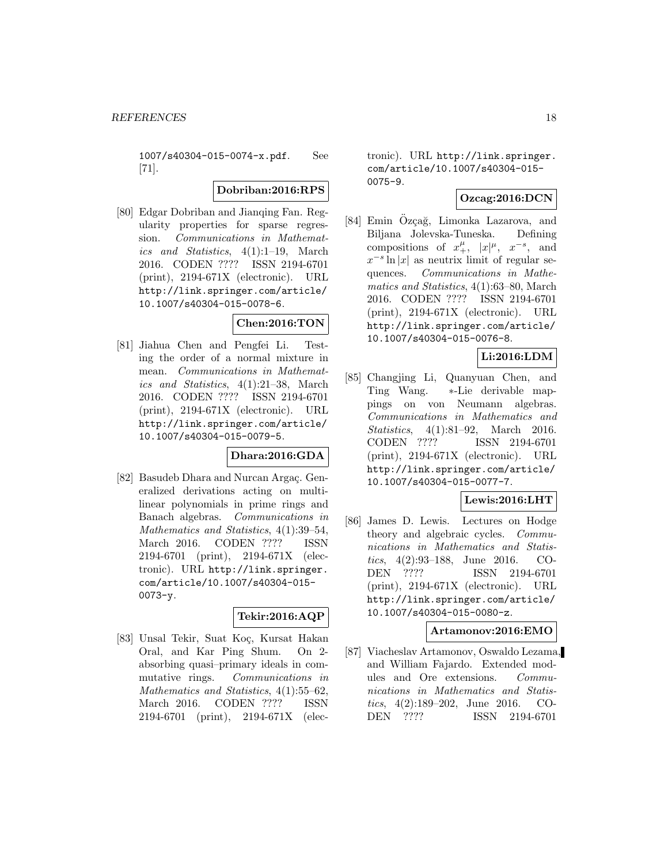1007/s40304-015-0074-x.pdf. See [71].

### **Dobriban:2016:RPS**

[80] Edgar Dobriban and Jianqing Fan. Regularity properties for sparse regression. Communications in Mathematics and Statistics, 4(1):1–19, March 2016. CODEN ???? ISSN 2194-6701 (print), 2194-671X (electronic). URL http://link.springer.com/article/ 10.1007/s40304-015-0078-6.

# **Chen:2016:TON**

[81] Jiahua Chen and Pengfei Li. Testing the order of a normal mixture in mean. Communications in Mathematics and Statistics, 4(1):21–38, March 2016. CODEN ???? ISSN 2194-6701 (print), 2194-671X (electronic). URL http://link.springer.com/article/ 10.1007/s40304-015-0079-5.

# **Dhara:2016:GDA**

[82] Basudeb Dhara and Nurcan Argac. Generalized derivations acting on multilinear polynomials in prime rings and Banach algebras. Communications in Mathematics and Statistics, 4(1):39–54, March 2016. CODEN ???? ISSN 2194-6701 (print), 2194-671X (electronic). URL http://link.springer. com/article/10.1007/s40304-015- 0073-y.

### **Tekir:2016:AQP**

[83] Unsal Tekir, Suat Koc, Kursat Hakan Oral, and Kar Ping Shum. On 2 absorbing quasi–primary ideals in commutative rings. Communications in Mathematics and Statistics, 4(1):55–62, March 2016. CODEN ???? ISSN 2194-6701 (print), 2194-671X (electronic). URL http://link.springer. com/article/10.1007/s40304-015- 0075-9.

### **Ozcag:2016:DCN**

[84] Emin Özçağ, Limonka Lazarova, and Biljana Jolevska-Tuneska. Defining compositions of  $x_+^{\mu}$ ,  $|x|^{\mu}$ ,  $x^{-s}$ , and  $x^{-s}\ln|x|$  as neutrix limit of regular sequences. Communications in Mathematics and Statistics, 4(1):63–80, March 2016. CODEN ???? ISSN 2194-6701 (print), 2194-671X (electronic). URL http://link.springer.com/article/ 10.1007/s40304-015-0076-8.

# **Li:2016:LDM**

[85] Changjing Li, Quanyuan Chen, and Ting Wang. ∗-Lie derivable mappings on von Neumann algebras. Communications in Mathematics and Statistics, 4(1):81–92, March 2016. CODEN ???? ISSN 2194-6701 (print), 2194-671X (electronic). URL http://link.springer.com/article/ 10.1007/s40304-015-0077-7.

### **Lewis:2016:LHT**

[86] James D. Lewis. Lectures on Hodge theory and algebraic cycles. Communications in Mathematics and Statistics, 4(2):93–188, June 2016. CO-DEN ???? ISSN 2194-6701 (print), 2194-671X (electronic). URL http://link.springer.com/article/ 10.1007/s40304-015-0080-z.

### **Artamonov:2016:EMO**

[87] Viacheslav Artamonov, Oswaldo Lezama, and William Fajardo. Extended modules and Ore extensions. Communications in Mathematics and Statistics, 4(2):189–202, June 2016. CO-DEN ???? ISSN 2194-6701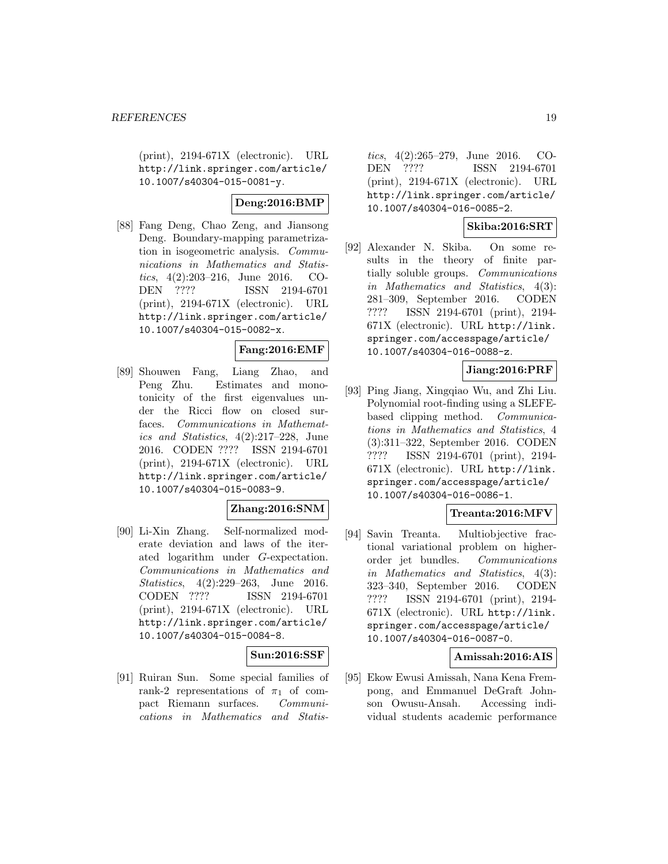(print), 2194-671X (electronic). URL http://link.springer.com/article/ 10.1007/s40304-015-0081-y.

# **Deng:2016:BMP**

[88] Fang Deng, Chao Zeng, and Jiansong Deng. Boundary-mapping parametrization in isogeometric analysis. Communications in Mathematics and Statistics, 4(2):203–216, June 2016. CO-DEN ???? ISSN 2194-6701 (print), 2194-671X (electronic). URL http://link.springer.com/article/ 10.1007/s40304-015-0082-x.

#### **Fang:2016:EMF**

[89] Shouwen Fang, Liang Zhao, and Peng Zhu. Estimates and monotonicity of the first eigenvalues under the Ricci flow on closed surfaces. Communications in Mathematics and Statistics, 4(2):217–228, June 2016. CODEN ???? ISSN 2194-6701 (print), 2194-671X (electronic). URL http://link.springer.com/article/ 10.1007/s40304-015-0083-9.

### **Zhang:2016:SNM**

[90] Li-Xin Zhang. Self-normalized moderate deviation and laws of the iterated logarithm under G-expectation. Communications in Mathematics and Statistics, 4(2):229–263, June 2016. CODEN ???? ISSN 2194-6701 (print), 2194-671X (electronic). URL http://link.springer.com/article/ 10.1007/s40304-015-0084-8.

### **Sun:2016:SSF**

[91] Ruiran Sun. Some special families of rank-2 representations of  $\pi_1$  of compact Riemann surfaces. Communications in Mathematics and Statis-

tics, 4(2):265–279, June 2016. CO-DEN ???? ISSN 2194-6701 (print), 2194-671X (electronic). URL http://link.springer.com/article/ 10.1007/s40304-016-0085-2.

### **Skiba:2016:SRT**

[92] Alexander N. Skiba. On some results in the theory of finite partially soluble groups. Communications in Mathematics and Statistics, 4(3): 281–309, September 2016. CODEN ???? ISSN 2194-6701 (print), 2194- 671X (electronic). URL http://link. springer.com/accesspage/article/ 10.1007/s40304-016-0088-z.

# **Jiang:2016:PRF**

[93] Ping Jiang, Xingqiao Wu, and Zhi Liu. Polynomial root-finding using a SLEFEbased clipping method. Communications in Mathematics and Statistics, 4 (3):311–322, September 2016. CODEN ???? ISSN 2194-6701 (print), 2194- 671X (electronic). URL http://link. springer.com/accesspage/article/ 10.1007/s40304-016-0086-1.

### **Treanta:2016:MFV**

[94] Savin Treanta. Multiobjective fractional variational problem on higherorder jet bundles. Communications in Mathematics and Statistics, 4(3): 323–340, September 2016. CODEN ???? ISSN 2194-6701 (print), 2194- 671X (electronic). URL http://link. springer.com/accesspage/article/ 10.1007/s40304-016-0087-0.

### **Amissah:2016:AIS**

[95] Ekow Ewusi Amissah, Nana Kena Frempong, and Emmanuel DeGraft Johnson Owusu-Ansah. Accessing individual students academic performance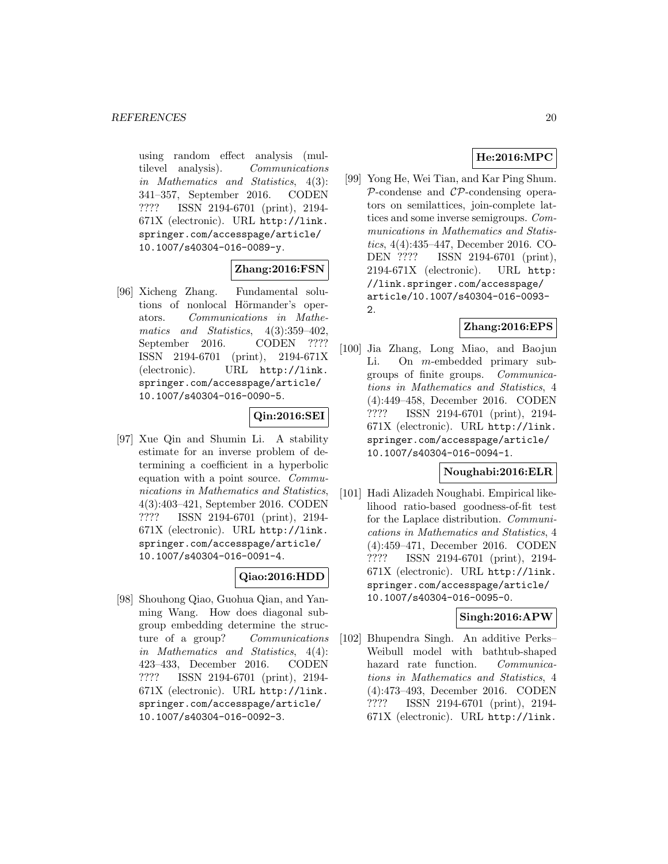using random effect analysis (multilevel analysis). Communications in Mathematics and Statistics, 4(3): 341–357, September 2016. CODEN ???? ISSN 2194-6701 (print), 2194- 671X (electronic). URL http://link. springer.com/accesspage/article/ 10.1007/s40304-016-0089-y.

# **Zhang:2016:FSN**

[96] Xicheng Zhang. Fundamental solutions of nonlocal Hörmander's operators. Communications in Mathematics and Statistics, 4(3):359–402, September 2016. CODEN ???? ISSN 2194-6701 (print), 2194-671X (electronic). URL http://link. springer.com/accesspage/article/ 10.1007/s40304-016-0090-5.

### **Qin:2016:SEI**

[97] Xue Qin and Shumin Li. A stability estimate for an inverse problem of determining a coefficient in a hyperbolic equation with a point source. Communications in Mathematics and Statistics, 4(3):403–421, September 2016. CODEN ???? ISSN 2194-6701 (print), 2194- 671X (electronic). URL http://link. springer.com/accesspage/article/ 10.1007/s40304-016-0091-4.

# **Qiao:2016:HDD**

[98] Shouhong Qiao, Guohua Qian, and Yanming Wang. How does diagonal subgroup embedding determine the structure of a group? Communications in Mathematics and Statistics, 4(4): 423–433, December 2016. CODEN ???? ISSN 2194-6701 (print), 2194- 671X (electronic). URL http://link. springer.com/accesspage/article/ 10.1007/s40304-016-0092-3.

# **He:2016:MPC**

[99] Yong He, Wei Tian, and Kar Ping Shum.  $P$ -condense and  $CP$ -condensing operators on semilattices, join-complete lattices and some inverse semigroups. Communications in Mathematics and Statistics, 4(4):435–447, December 2016. CO-DEN ???? ISSN 2194-6701 (print), 2194-671X (electronic). URL http: //link.springer.com/accesspage/ article/10.1007/s40304-016-0093- 2.

# **Zhang:2016:EPS**

[100] Jia Zhang, Long Miao, and Baojun Li. On m-embedded primary subgroups of finite groups. Communications in Mathematics and Statistics, 4 (4):449–458, December 2016. CODEN ???? ISSN 2194-6701 (print), 2194- 671X (electronic). URL http://link. springer.com/accesspage/article/ 10.1007/s40304-016-0094-1.

### **Noughabi:2016:ELR**

[101] Hadi Alizadeh Noughabi. Empirical likelihood ratio-based goodness-of-fit test for the Laplace distribution. Communications in Mathematics and Statistics, 4 (4):459–471, December 2016. CODEN ???? ISSN 2194-6701 (print), 2194- 671X (electronic). URL http://link. springer.com/accesspage/article/ 10.1007/s40304-016-0095-0.

### **Singh:2016:APW**

[102] Bhupendra Singh. An additive Perks– Weibull model with bathtub-shaped hazard rate function. Communications in Mathematics and Statistics, 4 (4):473–493, December 2016. CODEN ???? ISSN 2194-6701 (print), 2194- 671X (electronic). URL http://link.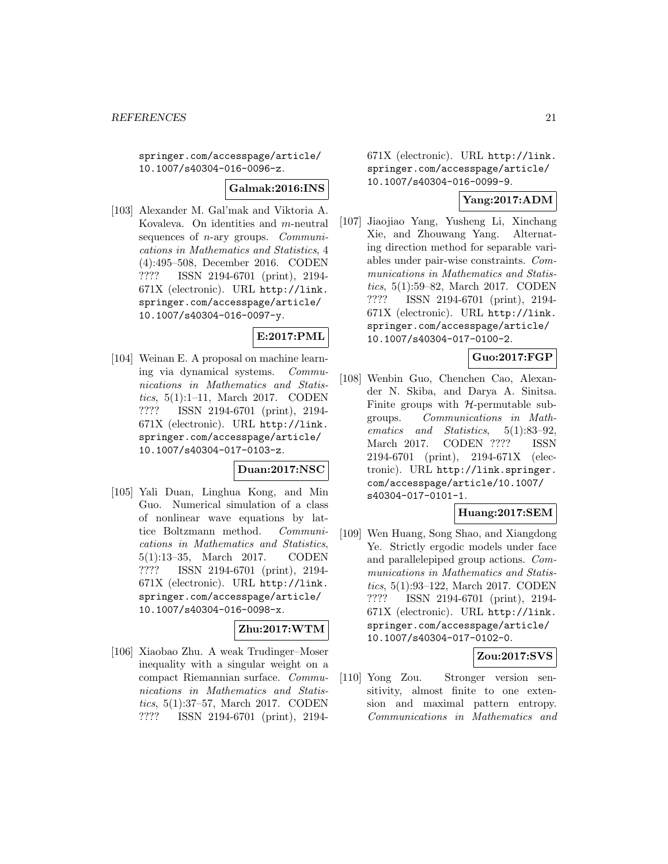springer.com/accesspage/article/ 10.1007/s40304-016-0096-z.

**Galmak:2016:INS**

[103] Alexander M. Gal'mak and Viktoria A. Kovaleva. On identities and m-neutral sequences of  $n$ -ary groups. *Communi*cations in Mathematics and Statistics, 4 (4):495–508, December 2016. CODEN ???? ISSN 2194-6701 (print), 2194- 671X (electronic). URL http://link. springer.com/accesspage/article/ 10.1007/s40304-016-0097-y.

# **E:2017:PML**

[104] Weinan E. A proposal on machine learning via dynamical systems. Communications in Mathematics and Statistics, 5(1):1–11, March 2017. CODEN ???? ISSN 2194-6701 (print), 2194- 671X (electronic). URL http://link. springer.com/accesspage/article/ 10.1007/s40304-017-0103-z.

#### **Duan:2017:NSC**

[105] Yali Duan, Linghua Kong, and Min Guo. Numerical simulation of a class of nonlinear wave equations by lattice Boltzmann method. Communications in Mathematics and Statistics, 5(1):13–35, March 2017. CODEN ???? ISSN 2194-6701 (print), 2194- 671X (electronic). URL http://link. springer.com/accesspage/article/ 10.1007/s40304-016-0098-x.

# **Zhu:2017:WTM**

[106] Xiaobao Zhu. A weak Trudinger–Moser inequality with a singular weight on a compact Riemannian surface. Communications in Mathematics and Statistics, 5(1):37–57, March 2017. CODEN ???? ISSN 2194-6701 (print), 2194671X (electronic). URL http://link. springer.com/accesspage/article/ 10.1007/s40304-016-0099-9.

# **Yang:2017:ADM**

[107] Jiaojiao Yang, Yusheng Li, Xinchang Xie, and Zhouwang Yang. Alternating direction method for separable variables under pair-wise constraints. Communications in Mathematics and Statistics, 5(1):59–82, March 2017. CODEN ???? ISSN 2194-6701 (print), 2194- 671X (electronic). URL http://link. springer.com/accesspage/article/ 10.1007/s40304-017-0100-2.

# **Guo:2017:FGP**

[108] Wenbin Guo, Chenchen Cao, Alexander N. Skiba, and Darya A. Sinitsa. Finite groups with  $H$ -permutable subgroups. Communications in Mathematics and Statistics, 5(1):83–92, March 2017. CODEN ???? ISSN 2194-6701 (print), 2194-671X (electronic). URL http://link.springer. com/accesspage/article/10.1007/ s40304-017-0101-1.

#### **Huang:2017:SEM**

[109] Wen Huang, Song Shao, and Xiangdong Ye. Strictly ergodic models under face and parallelepiped group actions. Communications in Mathematics and Statistics, 5(1):93–122, March 2017. CODEN ???? ISSN 2194-6701 (print), 2194- 671X (electronic). URL http://link. springer.com/accesspage/article/ 10.1007/s40304-017-0102-0.

### **Zou:2017:SVS**

[110] Yong Zou. Stronger version sensitivity, almost finite to one extension and maximal pattern entropy. Communications in Mathematics and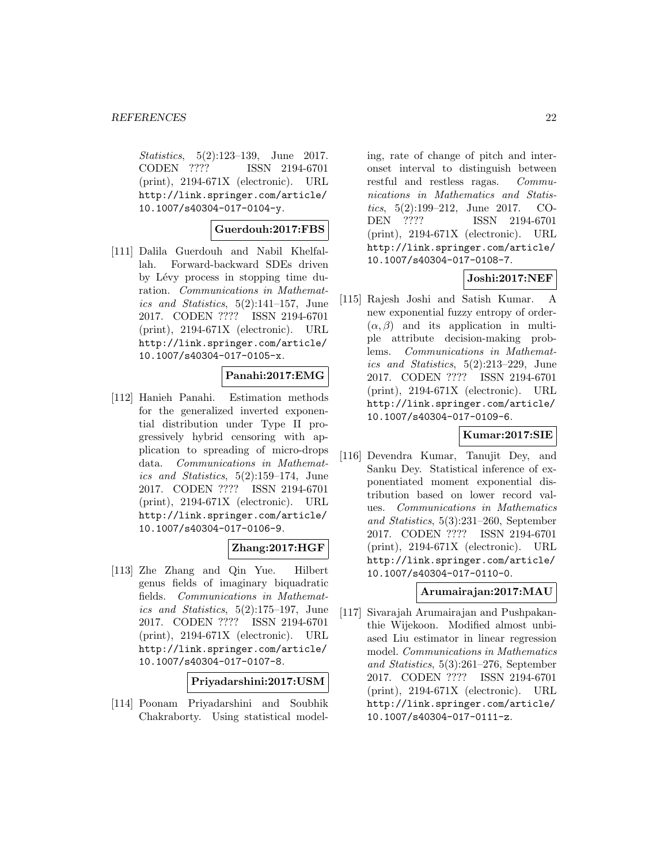Statistics, 5(2):123–139, June 2017. CODEN ???? ISSN 2194-6701 (print), 2194-671X (electronic). URL http://link.springer.com/article/ 10.1007/s40304-017-0104-y.

### **Guerdouh:2017:FBS**

[111] Dalila Guerdouh and Nabil Khelfallah. Forward-backward SDEs driven by Lévy process in stopping time duration. Communications in Mathematics and Statistics,  $5(2):141-157$ , June 2017. CODEN ???? ISSN 2194-6701 (print), 2194-671X (electronic). URL http://link.springer.com/article/ 10.1007/s40304-017-0105-x.

### **Panahi:2017:EMG**

[112] Hanieh Panahi. Estimation methods for the generalized inverted exponential distribution under Type II progressively hybrid censoring with application to spreading of micro-drops data. Communications in Mathematics and Statistics, 5(2):159–174, June 2017. CODEN ???? ISSN 2194-6701 (print), 2194-671X (electronic). URL http://link.springer.com/article/ 10.1007/s40304-017-0106-9.

### **Zhang:2017:HGF**

[113] Zhe Zhang and Qin Yue. Hilbert genus fields of imaginary biquadratic fields. Communications in Mathematics and Statistics, 5(2):175–197, June 2017. CODEN ???? ISSN 2194-6701 (print), 2194-671X (electronic). URL http://link.springer.com/article/ 10.1007/s40304-017-0107-8.

# **Priyadarshini:2017:USM**

[114] Poonam Priyadarshini and Soubhik Chakraborty. Using statistical model-

ing, rate of change of pitch and interonset interval to distinguish between restful and restless ragas. Communications in Mathematics and Statistics, 5(2):199–212, June 2017. CO-DEN ???? ISSN 2194-6701 (print), 2194-671X (electronic). URL http://link.springer.com/article/ 10.1007/s40304-017-0108-7.

### **Joshi:2017:NEF**

[115] Rajesh Joshi and Satish Kumar. A new exponential fuzzy entropy of order-  $(\alpha, \beta)$  and its application in multiple attribute decision-making problems. Communications in Mathematics and Statistics, 5(2):213–229, June 2017. CODEN ???? ISSN 2194-6701 (print), 2194-671X (electronic). URL http://link.springer.com/article/ 10.1007/s40304-017-0109-6.

# **Kumar:2017:SIE**

[116] Devendra Kumar, Tanujit Dey, and Sanku Dey. Statistical inference of exponentiated moment exponential distribution based on lower record values. Communications in Mathematics and Statistics, 5(3):231–260, September 2017. CODEN ???? ISSN 2194-6701 (print), 2194-671X (electronic). URL http://link.springer.com/article/ 10.1007/s40304-017-0110-0.

### **Arumairajan:2017:MAU**

[117] Sivarajah Arumairajan and Pushpakanthie Wijekoon. Modified almost unbiased Liu estimator in linear regression model. Communications in Mathematics and Statistics, 5(3):261–276, September 2017. CODEN ???? ISSN 2194-6701 (print), 2194-671X (electronic). URL http://link.springer.com/article/ 10.1007/s40304-017-0111-z.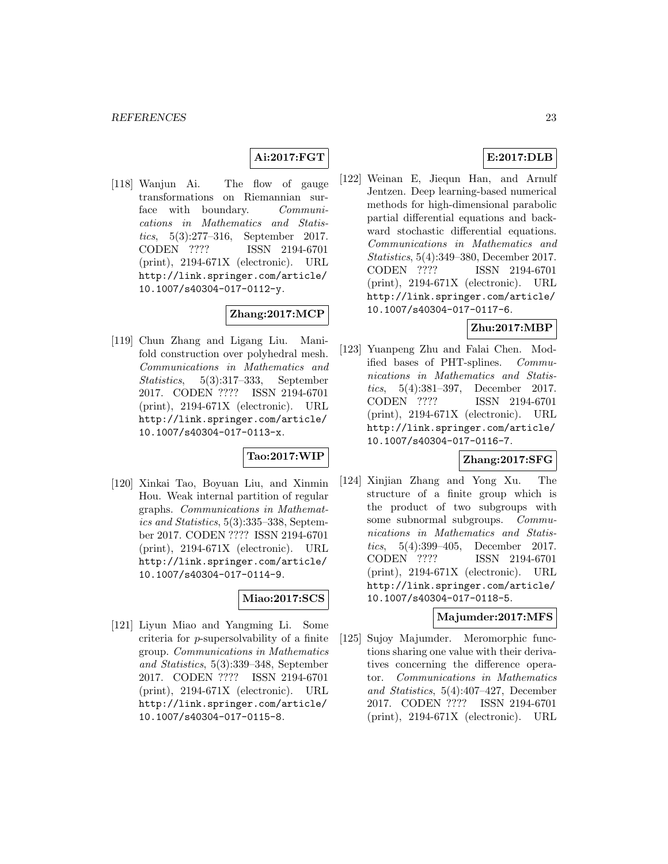# **Ai:2017:FGT**

[118] Wanjun Ai. The flow of gauge transformations on Riemannian surface with boundary. Communications in Mathematics and Statistics, 5(3):277–316, September 2017. CODEN ???? ISSN 2194-6701 (print), 2194-671X (electronic). URL http://link.springer.com/article/ 10.1007/s40304-017-0112-y.

# **Zhang:2017:MCP**

[119] Chun Zhang and Ligang Liu. Manifold construction over polyhedral mesh. Communications in Mathematics and Statistics, 5(3):317–333, September 2017. CODEN ???? ISSN 2194-6701 (print), 2194-671X (electronic). URL http://link.springer.com/article/ 10.1007/s40304-017-0113-x.

# **Tao:2017:WIP**

[120] Xinkai Tao, Boyuan Liu, and Xinmin Hou. Weak internal partition of regular graphs. Communications in Mathematics and Statistics, 5(3):335–338, September 2017. CODEN ???? ISSN 2194-6701 (print), 2194-671X (electronic). URL http://link.springer.com/article/ 10.1007/s40304-017-0114-9.

### **Miao:2017:SCS**

[121] Liyun Miao and Yangming Li. Some criteria for p-supersolvability of a finite group. Communications in Mathematics and Statistics, 5(3):339–348, September 2017. CODEN ???? ISSN 2194-6701 (print), 2194-671X (electronic). URL http://link.springer.com/article/ 10.1007/s40304-017-0115-8.

# **E:2017:DLB**

[122] Weinan E, Jiequn Han, and Arnulf Jentzen. Deep learning-based numerical methods for high-dimensional parabolic partial differential equations and backward stochastic differential equations. Communications in Mathematics and Statistics, 5(4):349–380, December 2017. CODEN ???? ISSN 2194-6701 (print), 2194-671X (electronic). URL http://link.springer.com/article/ 10.1007/s40304-017-0117-6.

### **Zhu:2017:MBP**

[123] Yuanpeng Zhu and Falai Chen. Modified bases of PHT-splines. Communications in Mathematics and Statistics, 5(4):381–397, December 2017. CODEN ???? ISSN 2194-6701 (print), 2194-671X (electronic). URL http://link.springer.com/article/ 10.1007/s40304-017-0116-7.

### **Zhang:2017:SFG**

[124] Xinjian Zhang and Yong Xu. The structure of a finite group which is the product of two subgroups with some subnormal subgroups. Communications in Mathematics and Statistics, 5(4):399–405, December 2017. CODEN ???? ISSN 2194-6701 (print), 2194-671X (electronic). URL http://link.springer.com/article/ 10.1007/s40304-017-0118-5.

# **Majumder:2017:MFS**

[125] Sujoy Majumder. Meromorphic functions sharing one value with their derivatives concerning the difference operator. Communications in Mathematics and Statistics, 5(4):407–427, December 2017. CODEN ???? ISSN 2194-6701 (print), 2194-671X (electronic). URL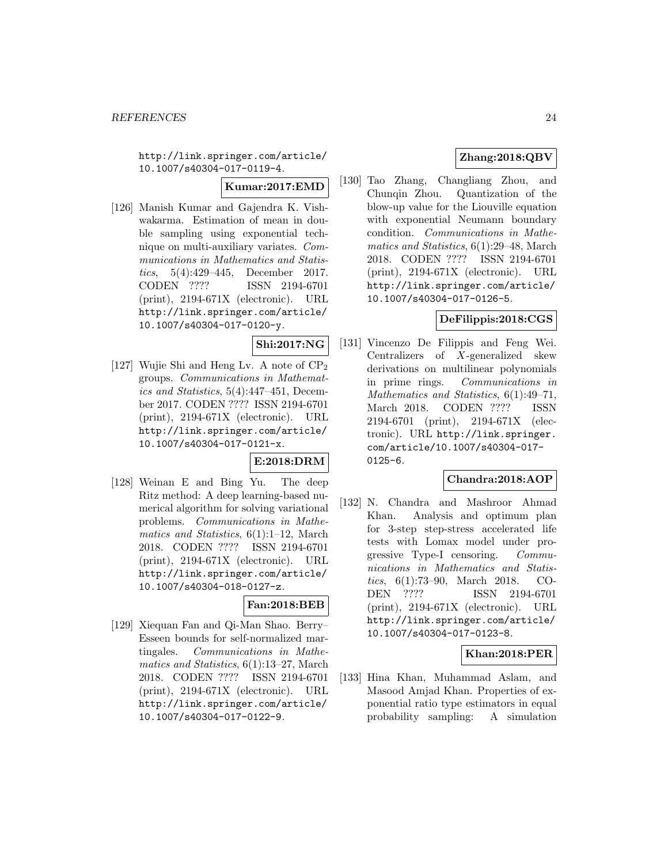http://link.springer.com/article/ 10.1007/s40304-017-0119-4.

#### **Kumar:2017:EMD**

[126] Manish Kumar and Gajendra K. Vishwakarma. Estimation of mean in double sampling using exponential technique on multi-auxiliary variates. Communications in Mathematics and Statistics, 5(4):429–445, December 2017. CODEN ???? ISSN 2194-6701 (print), 2194-671X (electronic). URL http://link.springer.com/article/ 10.1007/s40304-017-0120-y.

# **Shi:2017:NG**

[127] Wujie Shi and Heng Lv. A note of  $\text{CP}_2$ groups. Communications in Mathematics and Statistics, 5(4):447–451, December 2017. CODEN ???? ISSN 2194-6701 (print), 2194-671X (electronic). URL http://link.springer.com/article/ 10.1007/s40304-017-0121-x.

### **E:2018:DRM**

[128] Weinan E and Bing Yu. The deep Ritz method: A deep learning-based numerical algorithm for solving variational problems. Communications in Mathematics and Statistics, 6(1):1–12, March 2018. CODEN ???? ISSN 2194-6701 (print), 2194-671X (electronic). URL http://link.springer.com/article/ 10.1007/s40304-018-0127-z.

# **Fan:2018:BEB**

[129] Xiequan Fan and Qi-Man Shao. Berry– Esseen bounds for self-normalized martingales. Communications in Mathematics and Statistics, 6(1):13–27, March 2018. CODEN ???? ISSN 2194-6701 (print), 2194-671X (electronic). URL http://link.springer.com/article/ 10.1007/s40304-017-0122-9.

# **Zhang:2018:QBV**

[130] Tao Zhang, Changliang Zhou, and Chunqin Zhou. Quantization of the blow-up value for the Liouville equation with exponential Neumann boundary condition. Communications in Mathematics and Statistics, 6(1):29–48, March 2018. CODEN ???? ISSN 2194-6701 (print), 2194-671X (electronic). URL http://link.springer.com/article/ 10.1007/s40304-017-0126-5.

# **DeFilippis:2018:CGS**

[131] Vincenzo De Filippis and Feng Wei. Centralizers of X-generalized skew derivations on multilinear polynomials in prime rings. Communications in Mathematics and Statistics, 6(1):49–71, March 2018. CODEN ???? ISSN 2194-6701 (print), 2194-671X (electronic). URL http://link.springer. com/article/10.1007/s40304-017- 0125-6.

# **Chandra:2018:AOP**

[132] N. Chandra and Mashroor Ahmad Khan. Analysis and optimum plan for 3-step step-stress accelerated life tests with Lomax model under progressive Type-I censoring. Communications in Mathematics and Statistics, 6(1):73–90, March 2018. CO-DEN ???? ISSN 2194-6701 (print), 2194-671X (electronic). URL http://link.springer.com/article/ 10.1007/s40304-017-0123-8.

# **Khan:2018:PER**

[133] Hina Khan, Muhammad Aslam, and Masood Amjad Khan. Properties of exponential ratio type estimators in equal probability sampling: A simulation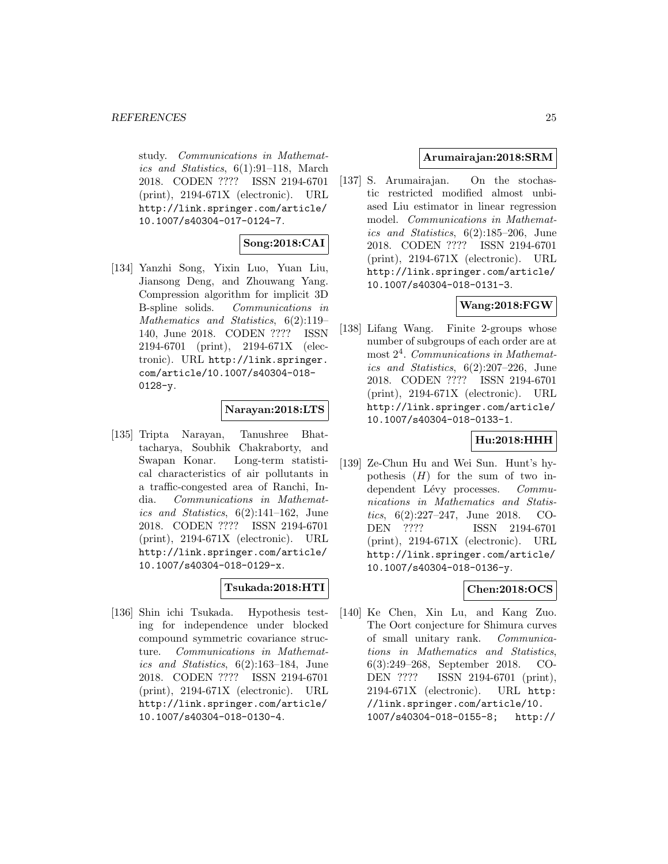study. Communications in Mathematics and Statistics, 6(1):91–118, March 2018. CODEN ???? ISSN 2194-6701 (print), 2194-671X (electronic). URL http://link.springer.com/article/ 10.1007/s40304-017-0124-7.

# **Song:2018:CAI**

[134] Yanzhi Song, Yixin Luo, Yuan Liu, Jiansong Deng, and Zhouwang Yang. Compression algorithm for implicit 3D B-spline solids. Communications in Mathematics and Statistics, 6(2):119– 140, June 2018. CODEN ???? ISSN 2194-6701 (print), 2194-671X (electronic). URL http://link.springer. com/article/10.1007/s40304-018-  $0128-y.$ 

### **Narayan:2018:LTS**

[135] Tripta Narayan, Tanushree Bhattacharya, Soubhik Chakraborty, and Swapan Konar. Long-term statistical characteristics of air pollutants in a traffic-congested area of Ranchi, India. Communications in Mathematics and Statistics, 6(2):141–162, June 2018. CODEN ???? ISSN 2194-6701 (print), 2194-671X (electronic). URL http://link.springer.com/article/ 10.1007/s40304-018-0129-x.

# **Tsukada:2018:HTI**

[136] Shin ichi Tsukada. Hypothesis testing for independence under blocked compound symmetric covariance structure. Communications in Mathematics and Statistics, 6(2):163–184, June 2018. CODEN ???? ISSN 2194-6701 (print), 2194-671X (electronic). URL http://link.springer.com/article/ 10.1007/s40304-018-0130-4.

### **Arumairajan:2018:SRM**

[137] S. Arumairajan. On the stochastic restricted modified almost unbiased Liu estimator in linear regression model. Communications in Mathematics and Statistics, 6(2):185–206, June 2018. CODEN ???? ISSN 2194-6701 (print), 2194-671X (electronic). URL http://link.springer.com/article/ 10.1007/s40304-018-0131-3.

# **Wang:2018:FGW**

[138] Lifang Wang. Finite 2-groups whose number of subgroups of each order are at most  $2<sup>4</sup>$ . Communications in Mathematics and Statistics,  $6(2):207-226$ , June 2018. CODEN ???? ISSN 2194-6701 (print), 2194-671X (electronic). URL http://link.springer.com/article/ 10.1007/s40304-018-0133-1.

### **Hu:2018:HHH**

[139] Ze-Chun Hu and Wei Sun. Hunt's hypothesis  $(H)$  for the sum of two independent Lévy processes. Communications in Mathematics and Statistics, 6(2):227–247, June 2018. CO-DEN ???? ISSN 2194-6701 (print), 2194-671X (electronic). URL http://link.springer.com/article/ 10.1007/s40304-018-0136-y.

### **Chen:2018:OCS**

[140] Ke Chen, Xin Lu, and Kang Zuo. The Oort conjecture for Shimura curves of small unitary rank. Communications in Mathematics and Statistics, 6(3):249–268, September 2018. CO-DEN ???? ISSN 2194-6701 (print), 2194-671X (electronic). URL http: //link.springer.com/article/10. 1007/s40304-018-0155-8; http://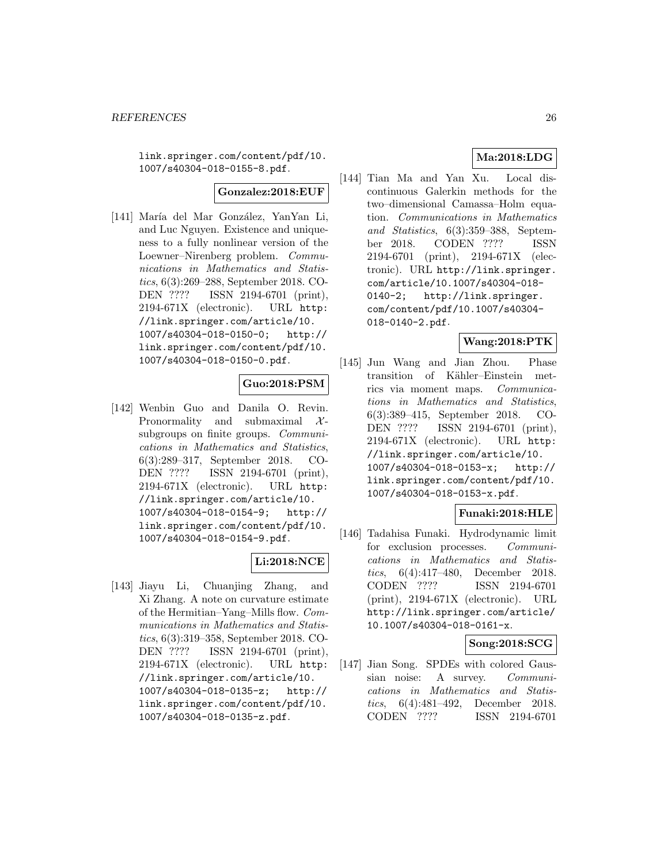link.springer.com/content/pdf/10. 1007/s40304-018-0155-8.pdf.

# **Gonzalez:2018:EUF**

[141] María del Mar González, YanYan Li, and Luc Nguyen. Existence and uniqueness to a fully nonlinear version of the Loewner–Nirenberg problem. Communications in Mathematics and Statistics, 6(3):269–288, September 2018. CO-DEN ???? ISSN 2194-6701 (print), 2194-671X (electronic). URL http: //link.springer.com/article/10. 1007/s40304-018-0150-0; http:// link.springer.com/content/pdf/10. 1007/s40304-018-0150-0.pdf.

# **Guo:2018:PSM**

[142] Wenbin Guo and Danila O. Revin. Pronormality and submaximal  $\mathcal{X}$ subgroups on finite groups. *Communi*cations in Mathematics and Statistics, 6(3):289–317, September 2018. CO-DEN ???? ISSN 2194-6701 (print), 2194-671X (electronic). URL http: //link.springer.com/article/10. 1007/s40304-018-0154-9; http:// link.springer.com/content/pdf/10. 1007/s40304-018-0154-9.pdf.

### **Li:2018:NCE**

[143] Jiayu Li, Chuanjing Zhang, and Xi Zhang. A note on curvature estimate of the Hermitian–Yang–Mills flow. Communications in Mathematics and Statistics, 6(3):319–358, September 2018. CO-DEN ???? ISSN 2194-6701 (print), 2194-671X (electronic). URL http: //link.springer.com/article/10. 1007/s40304-018-0135-z; http:// link.springer.com/content/pdf/10. 1007/s40304-018-0135-z.pdf.

# **Ma:2018:LDG**

[144] Tian Ma and Yan Xu. Local discontinuous Galerkin methods for the two–dimensional Camassa–Holm equation. Communications in Mathematics and Statistics, 6(3):359–388, September 2018. CODEN ???? ISSN 2194-6701 (print), 2194-671X (electronic). URL http://link.springer. com/article/10.1007/s40304-018- 0140-2; http://link.springer. com/content/pdf/10.1007/s40304- 018-0140-2.pdf.

# **Wang:2018:PTK**

[145] Jun Wang and Jian Zhou. Phase transition of Kähler–Einstein metrics via moment maps. Communications in Mathematics and Statistics, 6(3):389–415, September 2018. CO-DEN ???? ISSN 2194-6701 (print), 2194-671X (electronic). URL http: //link.springer.com/article/10. 1007/s40304-018-0153-x; http:// link.springer.com/content/pdf/10. 1007/s40304-018-0153-x.pdf.

### **Funaki:2018:HLE**

[146] Tadahisa Funaki. Hydrodynamic limit for exclusion processes. Communications in Mathematics and Statistics, 6(4):417–480, December 2018. CODEN ???? ISSN 2194-6701 (print), 2194-671X (electronic). URL http://link.springer.com/article/ 10.1007/s40304-018-0161-x.

### **Song:2018:SCG**

[147] Jian Song. SPDEs with colored Gaussian noise: A survey. Communications in Mathematics and Statistics, 6(4):481–492, December 2018. CODEN ???? ISSN 2194-6701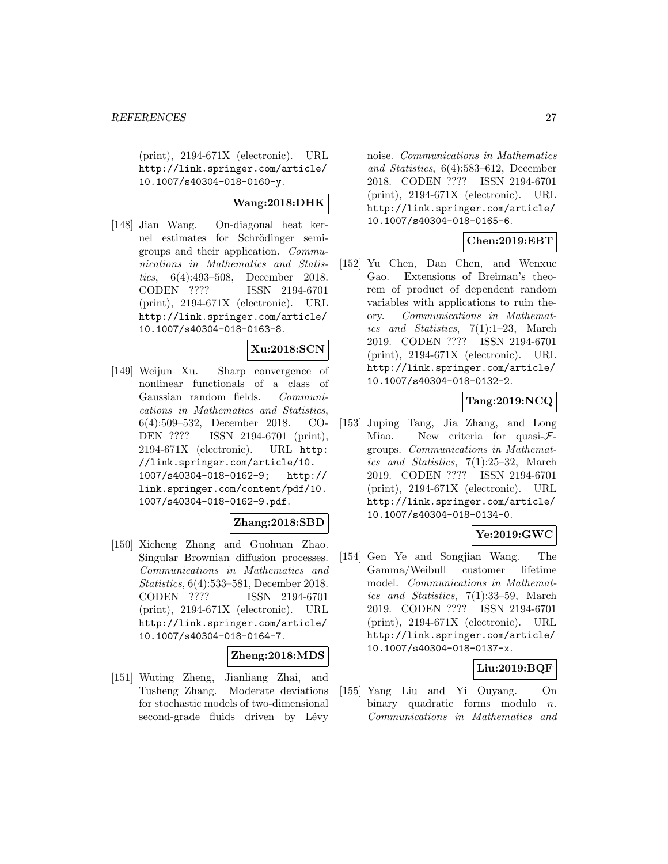(print), 2194-671X (electronic). URL http://link.springer.com/article/ 10.1007/s40304-018-0160-y.

### **Wang:2018:DHK**

[148] Jian Wang. On-diagonal heat kernel estimates for Schrödinger semigroups and their application. Communications in Mathematics and Statistics, 6(4):493–508, December 2018. CODEN ???? ISSN 2194-6701 (print), 2194-671X (electronic). URL http://link.springer.com/article/ 10.1007/s40304-018-0163-8.

# **Xu:2018:SCN**

[149] Weijun Xu. Sharp convergence of nonlinear functionals of a class of Gaussian random fields. Communications in Mathematics and Statistics, 6(4):509–532, December 2018. CO-DEN ???? ISSN 2194-6701 (print), 2194-671X (electronic). URL http: //link.springer.com/article/10. 1007/s40304-018-0162-9; http:// link.springer.com/content/pdf/10. 1007/s40304-018-0162-9.pdf.

# **Zhang:2018:SBD**

[150] Xicheng Zhang and Guohuan Zhao. Singular Brownian diffusion processes. Communications in Mathematics and Statistics, 6(4):533–581, December 2018. CODEN ???? ISSN 2194-6701 (print), 2194-671X (electronic). URL http://link.springer.com/article/ 10.1007/s40304-018-0164-7.

#### **Zheng:2018:MDS**

[151] Wuting Zheng, Jianliang Zhai, and Tusheng Zhang. Moderate deviations for stochastic models of two-dimensional second-grade fluids driven by Lévy

noise. Communications in Mathematics and Statistics, 6(4):583–612, December 2018. CODEN ???? ISSN 2194-6701 (print), 2194-671X (electronic). URL http://link.springer.com/article/ 10.1007/s40304-018-0165-6.

### **Chen:2019:EBT**

[152] Yu Chen, Dan Chen, and Wenxue Gao. Extensions of Breiman's theorem of product of dependent random variables with applications to ruin theory. Communications in Mathematics and Statistics, 7(1):1–23, March 2019. CODEN ???? ISSN 2194-6701 (print), 2194-671X (electronic). URL http://link.springer.com/article/ 10.1007/s40304-018-0132-2.

# **Tang:2019:NCQ**

[153] Juping Tang, Jia Zhang, and Long Miao. New criteria for quasi-Fgroups. Communications in Mathematics and Statistics, 7(1):25–32, March 2019. CODEN ???? ISSN 2194-6701 (print), 2194-671X (electronic). URL http://link.springer.com/article/ 10.1007/s40304-018-0134-0.

### **Ye:2019:GWC**

[154] Gen Ye and Songjian Wang. The Gamma/Weibull customer lifetime model. Communications in Mathematics and Statistics, 7(1):33–59, March 2019. CODEN ???? ISSN 2194-6701 (print), 2194-671X (electronic). URL http://link.springer.com/article/ 10.1007/s40304-018-0137-x.

### **Liu:2019:BQF**

[155] Yang Liu and Yi Ouyang. On binary quadratic forms modulo  $n$ . Communications in Mathematics and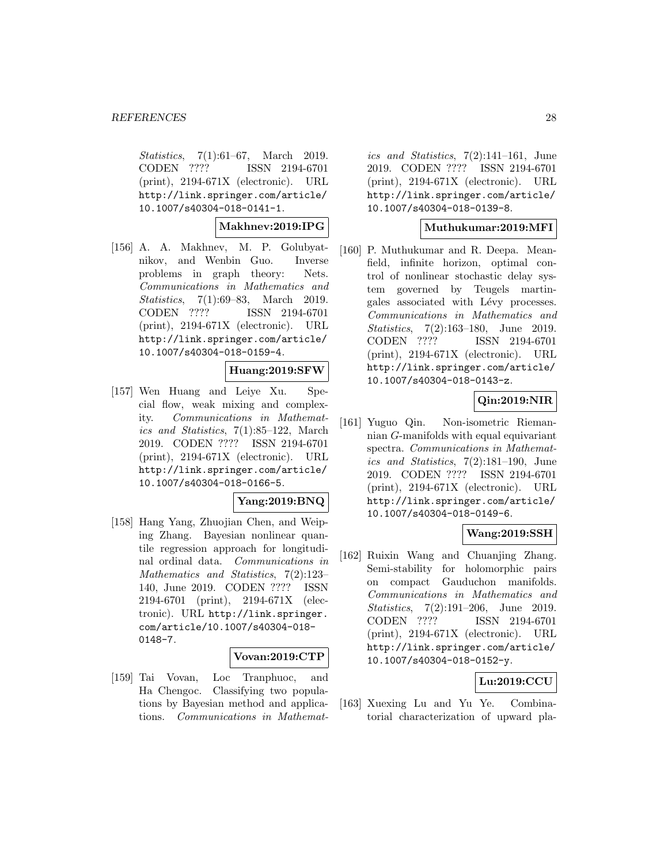Statistics, 7(1):61–67, March 2019. CODEN ???? ISSN 2194-6701 (print), 2194-671X (electronic). URL http://link.springer.com/article/ 10.1007/s40304-018-0141-1.

**Makhnev:2019:IPG**

[156] A. A. Makhnev, M. P. Golubyatnikov, and Wenbin Guo. Inverse problems in graph theory: Nets. Communications in Mathematics and Statistics, 7(1):69–83, March 2019. CODEN ???? ISSN 2194-6701 (print), 2194-671X (electronic). URL http://link.springer.com/article/ 10.1007/s40304-018-0159-4.

#### **Huang:2019:SFW**

[157] Wen Huang and Leiye Xu. Special flow, weak mixing and complexity. Communications in Mathematics and Statistics, 7(1):85–122, March 2019. CODEN ???? ISSN 2194-6701 (print), 2194-671X (electronic). URL http://link.springer.com/article/ 10.1007/s40304-018-0166-5.

#### **Yang:2019:BNQ**

[158] Hang Yang, Zhuojian Chen, and Weiping Zhang. Bayesian nonlinear quantile regression approach for longitudinal ordinal data. Communications in Mathematics and Statistics, 7(2):123– 140, June 2019. CODEN ???? ISSN 2194-6701 (print), 2194-671X (electronic). URL http://link.springer. com/article/10.1007/s40304-018- 0148-7.

#### **Vovan:2019:CTP**

[159] Tai Vovan, Loc Tranphuoc, and Ha Chengoc. Classifying two populations by Bayesian method and applications. Communications in Mathemat-

ics and Statistics,  $7(2):141-161$ , June 2019. CODEN ???? ISSN 2194-6701 (print), 2194-671X (electronic). URL http://link.springer.com/article/ 10.1007/s40304-018-0139-8.

### **Muthukumar:2019:MFI**

[160] P. Muthukumar and R. Deepa. Meanfield, infinite horizon, optimal control of nonlinear stochastic delay system governed by Teugels martingales associated with Lévy processes. Communications in Mathematics and Statistics, 7(2):163–180, June 2019. CODEN ???? ISSN 2194-6701 (print), 2194-671X (electronic). URL http://link.springer.com/article/ 10.1007/s40304-018-0143-z.

# **Qin:2019:NIR**

[161] Yuguo Qin. Non-isometric Riemannian G-manifolds with equal equivariant spectra. Communications in Mathematics and Statistics, 7(2):181–190, June 2019. CODEN ???? ISSN 2194-6701 (print), 2194-671X (electronic). URL http://link.springer.com/article/ 10.1007/s40304-018-0149-6.

# **Wang:2019:SSH**

[162] Ruixin Wang and Chuanjing Zhang. Semi-stability for holomorphic pairs on compact Gauduchon manifolds. Communications in Mathematics and Statistics, 7(2):191–206, June 2019.<br>CODEN ???? ISSN 2194-6701 ISSN 2194-6701 (print), 2194-671X (electronic). URL http://link.springer.com/article/ 10.1007/s40304-018-0152-y.

# **Lu:2019:CCU**

[163] Xuexing Lu and Yu Ye. Combinatorial characterization of upward pla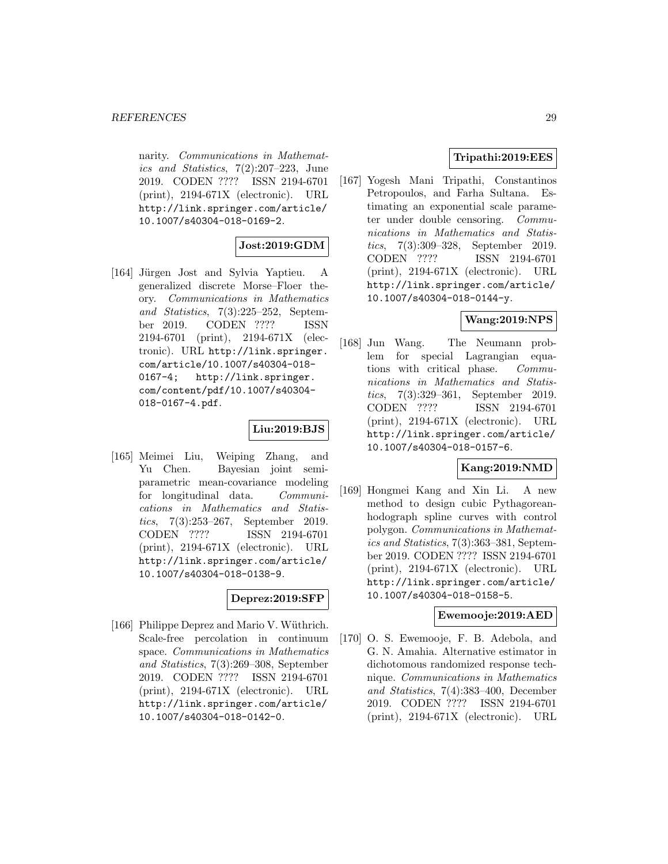narity. Communications in Mathematics and Statistics, 7(2):207–223, June 2019. CODEN ???? ISSN 2194-6701 (print), 2194-671X (electronic). URL http://link.springer.com/article/ 10.1007/s40304-018-0169-2.

# **Jost:2019:GDM**

[164] Jürgen Jost and Sylvia Yaptieu. A generalized discrete Morse–Floer theory. Communications in Mathematics and Statistics, 7(3):225–252, September 2019. CODEN ???? ISSN 2194-6701 (print), 2194-671X (electronic). URL http://link.springer. com/article/10.1007/s40304-018- 0167-4; http://link.springer. com/content/pdf/10.1007/s40304- 018-0167-4.pdf.

# **Liu:2019:BJS**

[165] Meimei Liu, Weiping Zhang, and Yu Chen. Bayesian joint semiparametric mean-covariance modeling for longitudinal data. Communications in Mathematics and Statistics, 7(3):253–267, September 2019. CODEN ???? ISSN 2194-6701 (print), 2194-671X (electronic). URL http://link.springer.com/article/ 10.1007/s40304-018-0138-9.

### **Deprez:2019:SFP**

[166] Philippe Deprez and Mario V. Wüthrich. Scale-free percolation in continuum space. Communications in Mathematics and Statistics, 7(3):269–308, September 2019. CODEN ???? ISSN 2194-6701 (print), 2194-671X (electronic). URL http://link.springer.com/article/ 10.1007/s40304-018-0142-0.

# **Tripathi:2019:EES**

[167] Yogesh Mani Tripathi, Constantinos Petropoulos, and Farha Sultana. Estimating an exponential scale parameter under double censoring. Communications in Mathematics and Statistics, 7(3):309–328, September 2019. CODEN ???? ISSN 2194-6701 (print), 2194-671X (electronic). URL http://link.springer.com/article/ 10.1007/s40304-018-0144-y.

### **Wang:2019:NPS**

[168] Jun Wang. The Neumann problem for special Lagrangian equations with critical phase. Communications in Mathematics and Statistics, 7(3):329–361, September 2019. CODEN ???? ISSN 2194-6701 (print), 2194-671X (electronic). URL http://link.springer.com/article/ 10.1007/s40304-018-0157-6.

# **Kang:2019:NMD**

[169] Hongmei Kang and Xin Li. A new method to design cubic Pythagoreanhodograph spline curves with control polygon. Communications in Mathematics and Statistics, 7(3):363–381, September 2019. CODEN ???? ISSN 2194-6701 (print), 2194-671X (electronic). URL http://link.springer.com/article/ 10.1007/s40304-018-0158-5.

#### **Ewemooje:2019:AED**

[170] O. S. Ewemooje, F. B. Adebola, and G. N. Amahia. Alternative estimator in dichotomous randomized response technique. Communications in Mathematics and Statistics, 7(4):383–400, December 2019. CODEN ???? ISSN 2194-6701 (print), 2194-671X (electronic). URL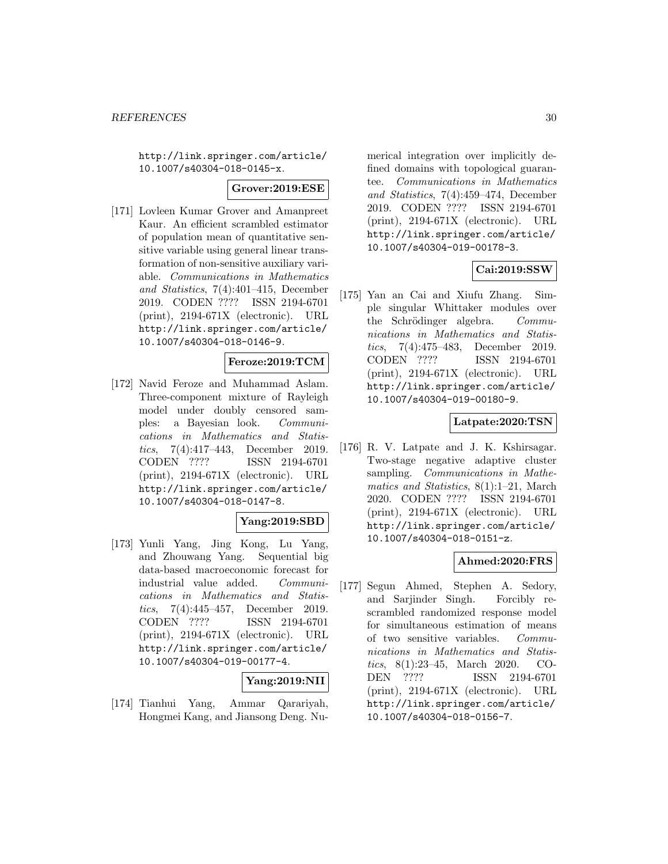http://link.springer.com/article/ 10.1007/s40304-018-0145-x.

### **Grover:2019:ESE**

[171] Lovleen Kumar Grover and Amanpreet Kaur. An efficient scrambled estimator of population mean of quantitative sensitive variable using general linear transformation of non-sensitive auxiliary variable. Communications in Mathematics and Statistics, 7(4):401–415, December 2019. CODEN ???? ISSN 2194-6701 (print), 2194-671X (electronic). URL http://link.springer.com/article/ 10.1007/s40304-018-0146-9.

### **Feroze:2019:TCM**

[172] Navid Feroze and Muhammad Aslam. Three-component mixture of Rayleigh model under doubly censored samples: a Bayesian look. Communications in Mathematics and Statistics, 7(4):417–443, December 2019. CODEN ???? ISSN 2194-6701 (print), 2194-671X (electronic). URL http://link.springer.com/article/ 10.1007/s40304-018-0147-8.

# **Yang:2019:SBD**

[173] Yunli Yang, Jing Kong, Lu Yang, and Zhouwang Yang. Sequential big data-based macroeconomic forecast for industrial value added. Communications in Mathematics and Statistics, 7(4):445–457, December 2019. CODEN ???? ISSN 2194-6701 (print), 2194-671X (electronic). URL http://link.springer.com/article/ 10.1007/s40304-019-00177-4.

# **Yang:2019:NII**

[174] Tianhui Yang, Ammar Qarariyah, Hongmei Kang, and Jiansong Deng. Nu-

merical integration over implicitly defined domains with topological guarantee. Communications in Mathematics and Statistics, 7(4):459–474, December 2019. CODEN ???? ISSN 2194-6701 (print), 2194-671X (electronic). URL http://link.springer.com/article/ 10.1007/s40304-019-00178-3.

# **Cai:2019:SSW**

[175] Yan an Cai and Xiufu Zhang. Simple singular Whittaker modules over the Schrödinger algebra. Communications in Mathematics and Statistics, 7(4):475–483, December 2019. CODEN ???? ISSN 2194-6701 (print), 2194-671X (electronic). URL http://link.springer.com/article/ 10.1007/s40304-019-00180-9.

### **Latpate:2020:TSN**

[176] R. V. Latpate and J. K. Kshirsagar. Two-stage negative adaptive cluster sampling. Communications in Mathematics and Statistics, 8(1):1–21, March 2020. CODEN ???? ISSN 2194-6701 (print), 2194-671X (electronic). URL http://link.springer.com/article/ 10.1007/s40304-018-0151-z.

### **Ahmed:2020:FRS**

[177] Segun Ahmed, Stephen A. Sedory, and Sarjinder Singh. Forcibly rescrambled randomized response model for simultaneous estimation of means of two sensitive variables. Communications in Mathematics and Statistics, 8(1):23–45, March 2020. CO-DEN ???? ISSN 2194-6701 (print), 2194-671X (electronic). URL http://link.springer.com/article/ 10.1007/s40304-018-0156-7.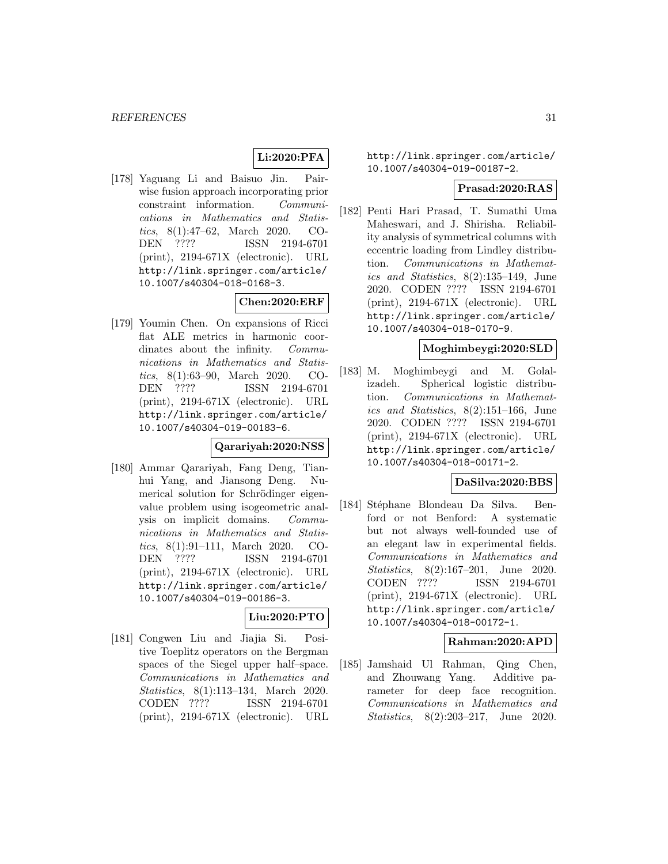# **Li:2020:PFA**

[178] Yaguang Li and Baisuo Jin. Pairwise fusion approach incorporating prior constraint information. Communications in Mathematics and Statistics, 8(1):47–62, March 2020. CO-DEN ???? ISSN 2194-6701 (print), 2194-671X (electronic). URL http://link.springer.com/article/ 10.1007/s40304-018-0168-3.

# **Chen:2020:ERF**

[179] Youmin Chen. On expansions of Ricci flat ALE metrics in harmonic coordinates about the infinity. *Commu*nications in Mathematics and Statistics, 8(1):63–90, March 2020. CO-DEN ???? ISSN 2194-6701 (print), 2194-671X (electronic). URL http://link.springer.com/article/ 10.1007/s40304-019-00183-6.

### **Qarariyah:2020:NSS**

[180] Ammar Qarariyah, Fang Deng, Tianhui Yang, and Jiansong Deng. Numerical solution for Schrödinger eigenvalue problem using isogeometric analysis on implicit domains. Communications in Mathematics and Statistics, 8(1):91–111, March 2020. CO-DEN ???? ISSN 2194-6701 (print), 2194-671X (electronic). URL http://link.springer.com/article/ 10.1007/s40304-019-00186-3.

### **Liu:2020:PTO**

[181] Congwen Liu and Jiajia Si. Positive Toeplitz operators on the Bergman spaces of the Siegel upper half–space. Communications in Mathematics and Statistics, 8(1):113-134, March 2020. CODEN ???? ISSN 2194-6701 (print), 2194-671X (electronic). URL

http://link.springer.com/article/ 10.1007/s40304-019-00187-2.

#### **Prasad:2020:RAS**

[182] Penti Hari Prasad, T. Sumathi Uma Maheswari, and J. Shirisha. Reliability analysis of symmetrical columns with eccentric loading from Lindley distribution. Communications in Mathematics and Statistics, 8(2):135–149, June 2020. CODEN ???? ISSN 2194-6701 (print), 2194-671X (electronic). URL http://link.springer.com/article/ 10.1007/s40304-018-0170-9.

#### **Moghimbeygi:2020:SLD**

[183] M. Moghimbeygi and M. Golalizadeh. Spherical logistic distribution. Communications in Mathematics and Statistics, 8(2):151–166, June 2020. CODEN ???? ISSN 2194-6701 (print), 2194-671X (electronic). URL http://link.springer.com/article/ 10.1007/s40304-018-00171-2.

#### **DaSilva:2020:BBS**

[184] Stéphane Blondeau Da Silva. Benford or not Benford: A systematic but not always well-founded use of an elegant law in experimental fields. Communications in Mathematics and Statistics, 8(2):167–201, June 2020. CODEN ???? ISSN 2194-6701 (print), 2194-671X (electronic). URL http://link.springer.com/article/ 10.1007/s40304-018-00172-1.

### **Rahman:2020:APD**

[185] Jamshaid Ul Rahman, Qing Chen, and Zhouwang Yang. Additive parameter for deep face recognition. Communications in Mathematics and Statistics, 8(2):203–217, June 2020.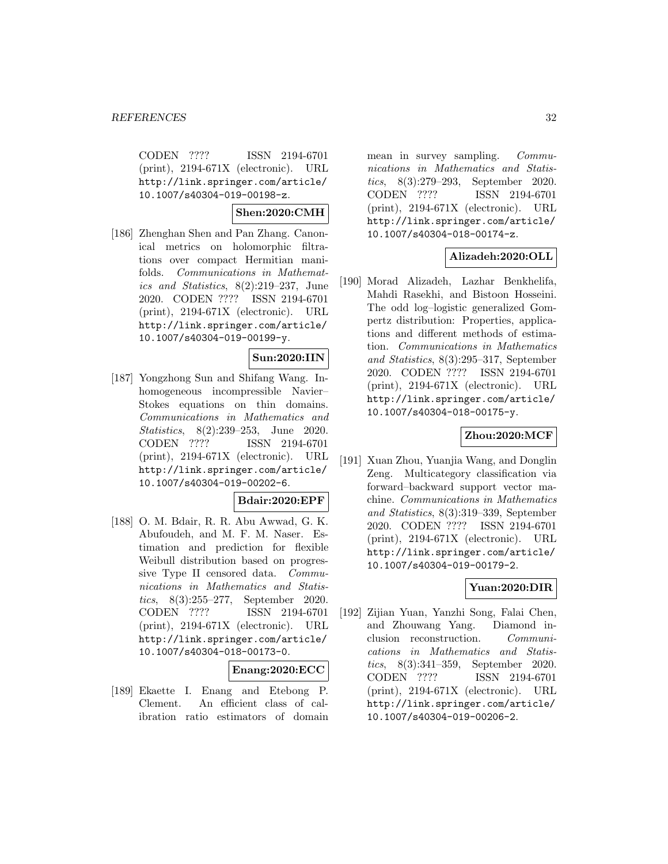CODEN ???? ISSN 2194-6701 (print), 2194-671X (electronic). URL http://link.springer.com/article/ 10.1007/s40304-019-00198-z.

# **Shen:2020:CMH**

[186] Zhenghan Shen and Pan Zhang. Canonical metrics on holomorphic filtrations over compact Hermitian manifolds. Communications in Mathematics and Statistics, 8(2):219–237, June 2020. CODEN ???? ISSN 2194-6701 (print), 2194-671X (electronic). URL http://link.springer.com/article/ 10.1007/s40304-019-00199-y.

### **Sun:2020:IIN**

[187] Yongzhong Sun and Shifang Wang. Inhomogeneous incompressible Navier– Stokes equations on thin domains. Communications in Mathematics and Statistics, 8(2):239–253, June 2020. CODEN ???? ISSN 2194-6701 (print), 2194-671X (electronic). URL http://link.springer.com/article/ 10.1007/s40304-019-00202-6.

#### **Bdair:2020:EPF**

[188] O. M. Bdair, R. R. Abu Awwad, G. K. Abufoudeh, and M. F. M. Naser. Estimation and prediction for flexible Weibull distribution based on progressive Type II censored data. Communications in Mathematics and Statistics, 8(3):255–277, September 2020. CODEN ???? ISSN 2194-6701 (print), 2194-671X (electronic). URL http://link.springer.com/article/ 10.1007/s40304-018-00173-0.

#### **Enang:2020:ECC**

[189] Ekaette I. Enang and Etebong P. Clement. An efficient class of calibration ratio estimators of domain mean in survey sampling. Communications in Mathematics and Statistics, 8(3):279–293, September 2020. CODEN ???? ISSN 2194-6701 (print), 2194-671X (electronic). URL http://link.springer.com/article/ 10.1007/s40304-018-00174-z.

### **Alizadeh:2020:OLL**

[190] Morad Alizadeh, Lazhar Benkhelifa, Mahdi Rasekhi, and Bistoon Hosseini. The odd log–logistic generalized Gompertz distribution: Properties, applications and different methods of estimation. Communications in Mathematics and Statistics, 8(3):295–317, September 2020. CODEN ???? ISSN 2194-6701 (print), 2194-671X (electronic). URL http://link.springer.com/article/ 10.1007/s40304-018-00175-y.

# **Zhou:2020:MCF**

[191] Xuan Zhou, Yuanjia Wang, and Donglin Zeng. Multicategory classification via forward–backward support vector machine. Communications in Mathematics and Statistics, 8(3):319–339, September 2020. CODEN ???? ISSN 2194-6701 (print), 2194-671X (electronic). URL http://link.springer.com/article/ 10.1007/s40304-019-00179-2.

# **Yuan:2020:DIR**

[192] Zijian Yuan, Yanzhi Song, Falai Chen, and Zhouwang Yang. Diamond inclusion reconstruction. Communications in Mathematics and Statistics, 8(3):341–359, September 2020. CODEN ???? ISSN 2194-6701 (print), 2194-671X (electronic). URL http://link.springer.com/article/ 10.1007/s40304-019-00206-2.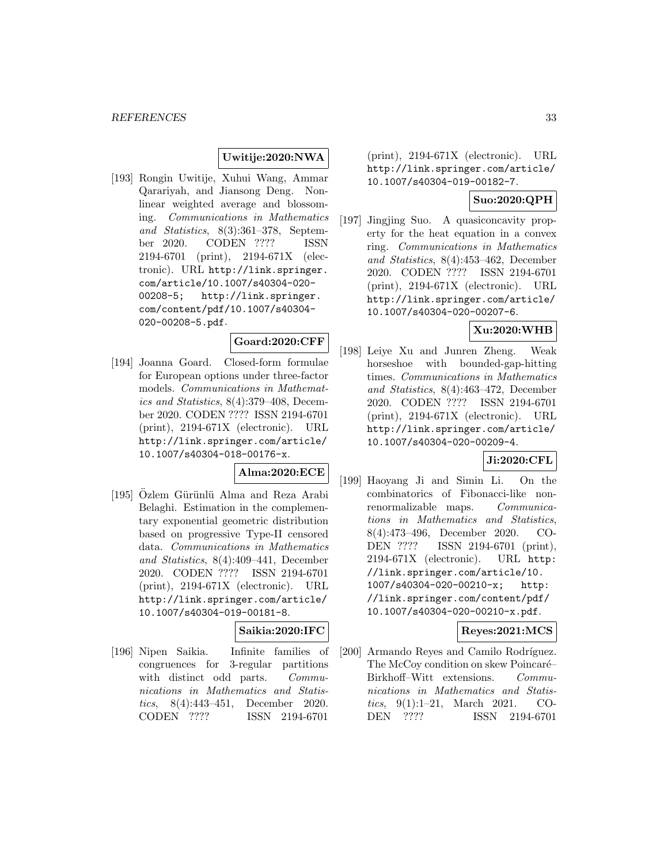# **Uwitije:2020:NWA**

[193] Rongin Uwitije, Xuhui Wang, Ammar Qarariyah, and Jiansong Deng. Nonlinear weighted average and blossoming. Communications in Mathematics and Statistics, 8(3):361–378, September 2020. CODEN ???? ISSN 2194-6701 (print), 2194-671X (electronic). URL http://link.springer. com/article/10.1007/s40304-020- 00208-5; http://link.springer. com/content/pdf/10.1007/s40304- 020-00208-5.pdf.

# **Goard:2020:CFF**

[194] Joanna Goard. Closed-form formulae for European options under three-factor models. Communications in Mathematics and Statistics, 8(4):379–408, December 2020. CODEN ???? ISSN 2194-6701 (print), 2194-671X (electronic). URL http://link.springer.com/article/ 10.1007/s40304-018-00176-x.

### **Alma:2020:ECE**

[195] Özlem Gürünlü Alma and Reza Arabi Belaghi. Estimation in the complementary exponential geometric distribution based on progressive Type-II censored data. Communications in Mathematics and Statistics, 8(4):409–441, December 2020. CODEN ???? ISSN 2194-6701 (print), 2194-671X (electronic). URL http://link.springer.com/article/ 10.1007/s40304-019-00181-8.

# **Saikia:2020:IFC**

[196] Nipen Saikia. Infinite families of congruences for 3-regular partitions with distinct odd parts. *Commu*nications in Mathematics and Statistics, 8(4):443–451, December 2020. CODEN ???? ISSN 2194-6701

(print), 2194-671X (electronic). URL http://link.springer.com/article/ 10.1007/s40304-019-00182-7.

### **Suo:2020:QPH**

[197] Jingjing Suo. A quasiconcavity property for the heat equation in a convex ring. Communications in Mathematics and Statistics, 8(4):453–462, December 2020. CODEN ???? ISSN 2194-6701 (print), 2194-671X (electronic). URL http://link.springer.com/article/ 10.1007/s40304-020-00207-6.

# **Xu:2020:WHB**

[198] Leiye Xu and Junren Zheng. Weak horseshoe with bounded-gap-hitting times. Communications in Mathematics and Statistics, 8(4):463–472, December 2020. CODEN ???? ISSN 2194-6701 (print), 2194-671X (electronic). URL http://link.springer.com/article/ 10.1007/s40304-020-00209-4.

### **Ji:2020:CFL**

[199] Haoyang Ji and Simin Li. On the combinatorics of Fibonacci-like nonrenormalizable maps. Communications in Mathematics and Statistics, 8(4):473–496, December 2020. CO-DEN ???? ISSN 2194-6701 (print), 2194-671X (electronic). URL http: //link.springer.com/article/10. 1007/s40304-020-00210-x; http: //link.springer.com/content/pdf/ 10.1007/s40304-020-00210-x.pdf.

### **Reyes:2021:MCS**

[200] Armando Reyes and Camilo Rodríguez. The McCoy condition on skew Poincaré– Birkhoff–Witt extensions. Communications in Mathematics and Statistics, 9(1):1–21, March 2021. CO-DEN ???? ISSN 2194-6701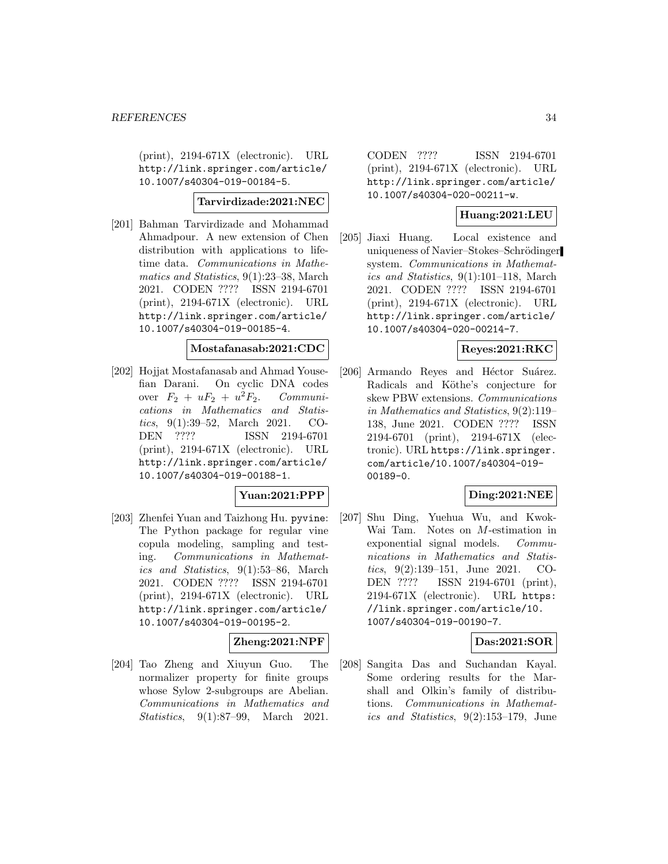(print), 2194-671X (electronic). URL http://link.springer.com/article/ 10.1007/s40304-019-00184-5.

### **Tarvirdizade:2021:NEC**

[201] Bahman Tarvirdizade and Mohammad Ahmadpour. A new extension of Chen distribution with applications to lifetime data. Communications in Mathematics and Statistics, 9(1):23–38, March 2021. CODEN ???? ISSN 2194-6701 (print), 2194-671X (electronic). URL http://link.springer.com/article/ 10.1007/s40304-019-00185-4.

### **Mostafanasab:2021:CDC**

[202] Hojjat Mostafanasab and Ahmad Yousefian Darani. On cyclic DNA codes over  $F_2 + uF_2 + u^2F_2$ . Communications in Mathematics and Statistics, 9(1):39–52, March 2021. CO-DEN ???? ISSN 2194-6701 (print), 2194-671X (electronic). URL http://link.springer.com/article/ 10.1007/s40304-019-00188-1.

### **Yuan:2021:PPP**

[203] Zhenfei Yuan and Taizhong Hu. pyvine: The Python package for regular vine copula modeling, sampling and testing. Communications in Mathematics and Statistics, 9(1):53–86, March 2021. CODEN ???? ISSN 2194-6701 (print), 2194-671X (electronic). URL http://link.springer.com/article/ 10.1007/s40304-019-00195-2.

# **Zheng:2021:NPF**

[204] Tao Zheng and Xiuyun Guo. The normalizer property for finite groups whose Sylow 2-subgroups are Abelian. Communications in Mathematics and Statistics, 9(1):87–99, March 2021.

CODEN ???? ISSN 2194-6701 (print), 2194-671X (electronic). URL http://link.springer.com/article/ 10.1007/s40304-020-00211-w.

### **Huang:2021:LEU**

[205] Jiaxi Huang. Local existence and uniqueness of Navier–Stokes–Schrödinger system. Communications in Mathematics and Statistics, 9(1):101–118, March 2021. CODEN ???? ISSN 2194-6701 (print), 2194-671X (electronic). URL http://link.springer.com/article/ 10.1007/s40304-020-00214-7.

# **Reyes:2021:RKC**

[206] Armando Reyes and Héctor Suárez. Radicals and Köthe's conjecture for skew PBW extensions. Communications in Mathematics and Statistics, 9(2):119– 138, June 2021. CODEN ???? ISSN 2194-6701 (print), 2194-671X (electronic). URL https://link.springer. com/article/10.1007/s40304-019- 00189-0.

### **Ding:2021:NEE**

[207] Shu Ding, Yuehua Wu, and Kwok-Wai Tam. Notes on M-estimation in exponential signal models. Communications in Mathematics and Statistics, 9(2):139–151, June 2021. CO-DEN ???? ISSN 2194-6701 (print), 2194-671X (electronic). URL https: //link.springer.com/article/10. 1007/s40304-019-00190-7.

### **Das:2021:SOR**

[208] Sangita Das and Suchandan Kayal. Some ordering results for the Marshall and Olkin's family of distributions. Communications in Mathematics and Statistics, 9(2):153–179, June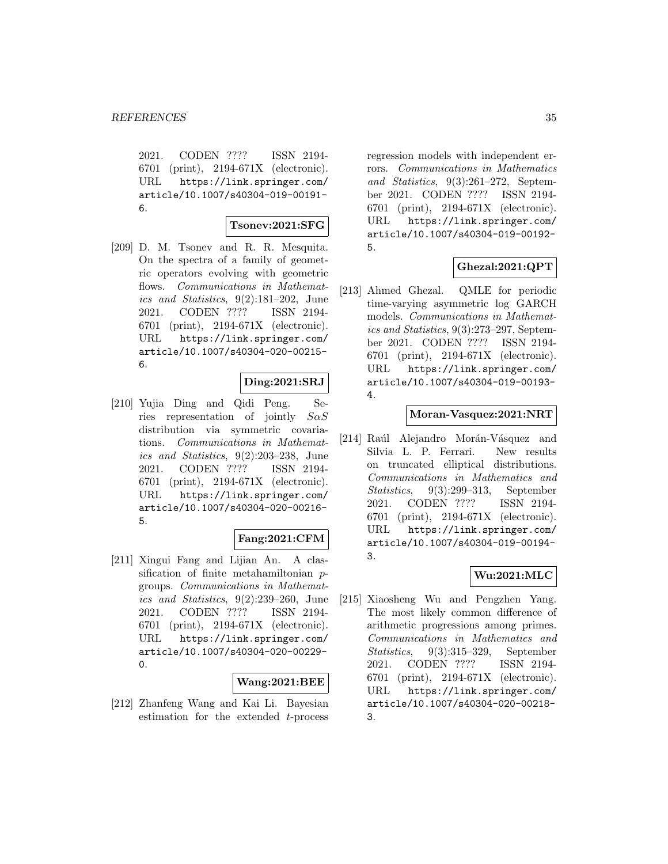2021. CODEN ???? ISSN 2194- 6701 (print), 2194-671X (electronic). URL https://link.springer.com/ article/10.1007/s40304-019-00191- 6.

#### **Tsonev:2021:SFG**

[209] D. M. Tsonev and R. R. Mesquita. On the spectra of a family of geometric operators evolving with geometric flows. Communications in Mathematics and Statistics, 9(2):181–202, June 2021. CODEN ???? ISSN 2194- 6701 (print), 2194-671X (electronic). URL https://link.springer.com/ article/10.1007/s40304-020-00215- 6.

### **Ding:2021:SRJ**

[210] Yujia Ding and Qidi Peng. Series representation of jointly  $S \alpha S$ distribution via symmetric covariations. Communications in Mathematics and Statistics, 9(2):203–238, June 2021. CODEN ???? ISSN 2194- 6701 (print), 2194-671X (electronic). URL https://link.springer.com/ article/10.1007/s40304-020-00216- 5.

### **Fang:2021:CFM**

[211] Xingui Fang and Lijian An. A classification of finite metahamiltonian pgroups. Communications in Mathematics and Statistics, 9(2):239–260, June 2021. CODEN ???? ISSN 2194- 6701 (print), 2194-671X (electronic). URL https://link.springer.com/ article/10.1007/s40304-020-00229-  $\Omega$ 

#### **Wang:2021:BEE**

[212] Zhanfeng Wang and Kai Li. Bayesian estimation for the extended t-process

regression models with independent errors. Communications in Mathematics and Statistics, 9(3):261–272, September 2021. CODEN ???? ISSN 2194- 6701 (print), 2194-671X (electronic). URL https://link.springer.com/ article/10.1007/s40304-019-00192- 5.

# **Ghezal:2021:QPT**

[213] Ahmed Ghezal. QMLE for periodic time-varying asymmetric log GARCH models. Communications in Mathematics and Statistics, 9(3):273–297, September 2021. CODEN ???? ISSN 2194- 6701 (print), 2194-671X (electronic). URL https://link.springer.com/ article/10.1007/s40304-019-00193- 4.

### **Moran-Vasquez:2021:NRT**

[214] Raúl Alejandro Morán-Vásquez and Silvia L. P. Ferrari. New results on truncated elliptical distributions. Communications in Mathematics and Statistics, 9(3):299–313, September 2021. CODEN ???? ISSN 2194- 6701 (print), 2194-671X (electronic). URL https://link.springer.com/ article/10.1007/s40304-019-00194- 3.

### **Wu:2021:MLC**

[215] Xiaosheng Wu and Pengzhen Yang. The most likely common difference of arithmetic progressions among primes. Communications in Mathematics and Statistics, 9(3):315–329, September 2021. CODEN ???? ISSN 2194- 6701 (print), 2194-671X (electronic). URL https://link.springer.com/ article/10.1007/s40304-020-00218- 3.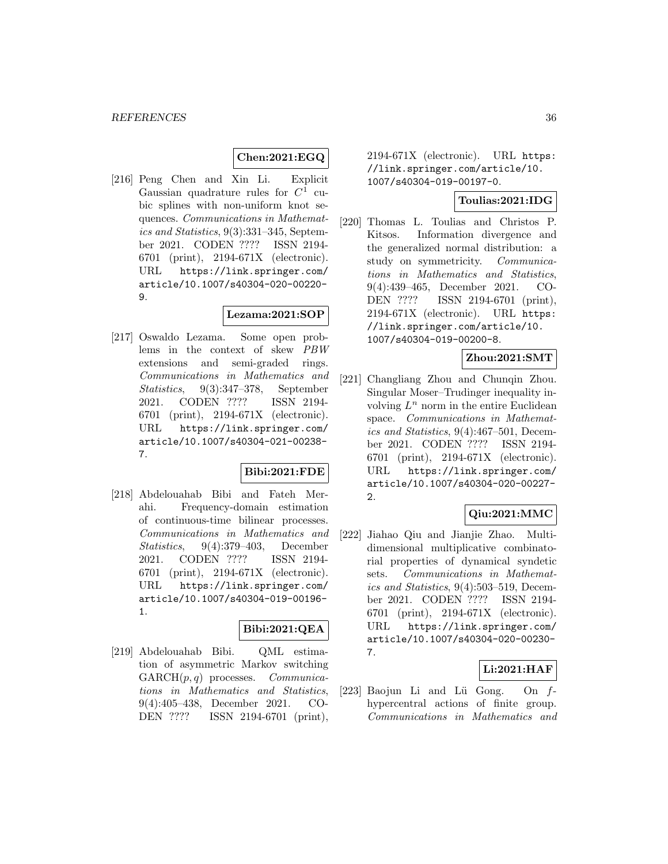# **Chen:2021:EGQ**

[216] Peng Chen and Xin Li. Explicit Gaussian quadrature rules for  $C^1$  cubic splines with non-uniform knot sequences. Communications in Mathematics and Statistics, 9(3):331–345, September 2021. CODEN ???? ISSN 2194- 6701 (print), 2194-671X (electronic). URL https://link.springer.com/ article/10.1007/s40304-020-00220- 9.

#### **Lezama:2021:SOP**

[217] Oswaldo Lezama. Some open problems in the context of skew PBW extensions and semi-graded rings. Communications in Mathematics and Statistics, 9(3):347–378, September 2021. CODEN ???? ISSN 2194- 6701 (print), 2194-671X (electronic). URL https://link.springer.com/ article/10.1007/s40304-021-00238- 7.

### **Bibi:2021:FDE**

[218] Abdelouahab Bibi and Fateh Merahi. Frequency-domain estimation of continuous-time bilinear processes. Communications in Mathematics and Statistics, 9(4):379–403, December 2021. CODEN ???? ISSN 2194- 6701 (print), 2194-671X (electronic). URL https://link.springer.com/ article/10.1007/s40304-019-00196- 1.

# **Bibi:2021:QEA**

[219] Abdelouahab Bibi. QML estimation of asymmetric Markov switching  $GARCH(p, q)$  processes. *Communica*tions in Mathematics and Statistics, 9(4):405–438, December 2021. CO-DEN ???? ISSN 2194-6701 (print),

2194-671X (electronic). URL https: //link.springer.com/article/10. 1007/s40304-019-00197-0.

# **Toulias:2021:IDG**

[220] Thomas L. Toulias and Christos P. Kitsos. Information divergence and the generalized normal distribution: a study on symmetricity. Communications in Mathematics and Statistics, 9(4):439–465, December 2021. CO-DEN ???? ISSN 2194-6701 (print), 2194-671X (electronic). URL https: //link.springer.com/article/10. 1007/s40304-019-00200-8.

# **Zhou:2021:SMT**

[221] Changliang Zhou and Chunqin Zhou. Singular Moser–Trudinger inequality involving  $L^n$  norm in the entire Euclidean space. Communications in Mathematics and Statistics, 9(4):467–501, December 2021. CODEN ???? ISSN 2194- 6701 (print), 2194-671X (electronic). URL https://link.springer.com/ article/10.1007/s40304-020-00227- 2.

# **Qiu:2021:MMC**

[222] Jiahao Qiu and Jianjie Zhao. Multidimensional multiplicative combinatorial properties of dynamical syndetic sets. Communications in Mathematics and Statistics, 9(4):503–519, December 2021. CODEN ???? ISSN 2194- 6701 (print), 2194-671X (electronic). URL https://link.springer.com/ article/10.1007/s40304-020-00230- 7.

# **Li:2021:HAF**

[223] Baojun Li and Lü Gong. On  $f$ hypercentral actions of finite group. Communications in Mathematics and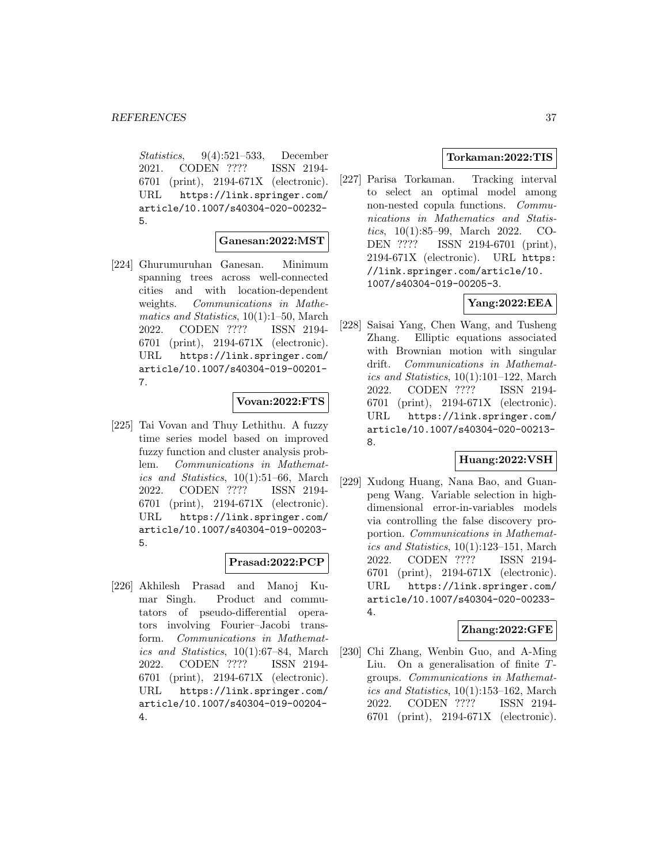Statistics, 9(4):521–533, December 2021. CODEN ???? ISSN 2194- 6701 (print), 2194-671X (electronic). URL https://link.springer.com/ article/10.1007/s40304-020-00232- 5.

#### **Ganesan:2022:MST**

[224] Ghurumuruhan Ganesan. Minimum spanning trees across well-connected cities and with location-dependent weights. Communications in Mathematics and Statistics, 10(1):1–50, March 2022. CODEN ???? ISSN 2194- 6701 (print), 2194-671X (electronic). URL https://link.springer.com/ article/10.1007/s40304-019-00201- 7.

### **Vovan:2022:FTS**

[225] Tai Vovan and Thuy Lethithu. A fuzzy time series model based on improved fuzzy function and cluster analysis problem. Communications in Mathematics and Statistics, 10(1):51–66, March 2022. CODEN ???? ISSN 2194- 6701 (print), 2194-671X (electronic). URL https://link.springer.com/ article/10.1007/s40304-019-00203- 5.

# **Prasad:2022:PCP**

[226] Akhilesh Prasad and Manoj Kumar Singh. Product and commutators of pseudo-differential operators involving Fourier–Jacobi transform. Communications in Mathematics and Statistics, 10(1):67–84, March 2022. CODEN ???? ISSN 2194- 6701 (print), 2194-671X (electronic). URL https://link.springer.com/ article/10.1007/s40304-019-00204- 4.

# **Torkaman:2022:TIS**

[227] Parisa Torkaman. Tracking interval to select an optimal model among non-nested copula functions. Communications in Mathematics and Statistics, 10(1):85–99, March 2022. CO-DEN ???? ISSN 2194-6701 (print), 2194-671X (electronic). URL https: //link.springer.com/article/10. 1007/s40304-019-00205-3.

# **Yang:2022:EEA**

[228] Saisai Yang, Chen Wang, and Tusheng Zhang. Elliptic equations associated with Brownian motion with singular drift. Communications in Mathematics and Statistics, 10(1):101–122, March 2022. CODEN ???? ISSN 2194- 6701 (print), 2194-671X (electronic). URL https://link.springer.com/ article/10.1007/s40304-020-00213- 8.

### **Huang:2022:VSH**

[229] Xudong Huang, Nana Bao, and Guanpeng Wang. Variable selection in highdimensional error-in-variables models via controlling the false discovery proportion. Communications in Mathematics and Statistics, 10(1):123–151, March 2022. CODEN ???? ISSN 2194- 6701 (print), 2194-671X (electronic). URL https://link.springer.com/ article/10.1007/s40304-020-00233- 4.

### **Zhang:2022:GFE**

[230] Chi Zhang, Wenbin Guo, and A-Ming Liu. On a generalisation of finite Tgroups. Communications in Mathematics and Statistics, 10(1):153–162, March 2022. CODEN ???? ISSN 2194- 6701 (print), 2194-671X (electronic).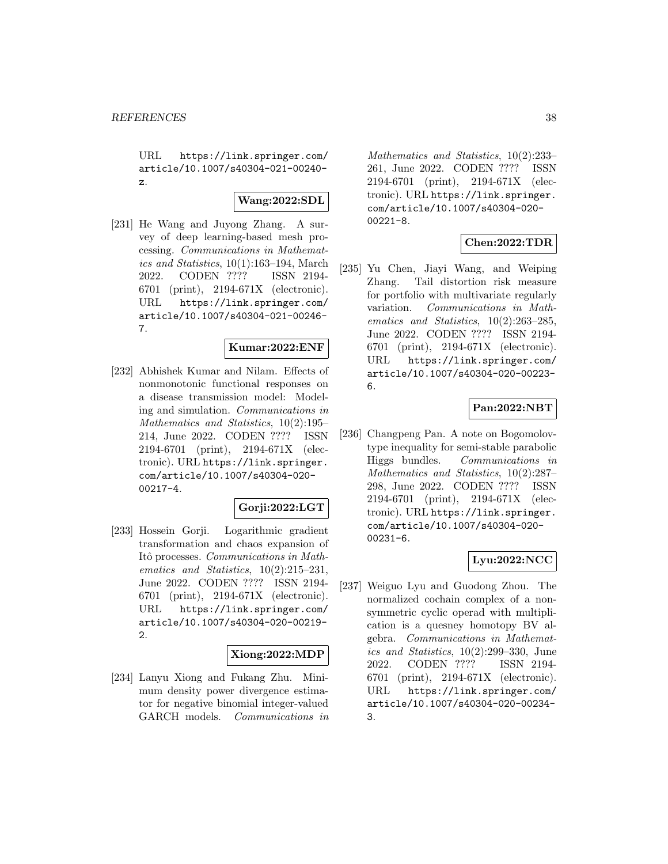URL https://link.springer.com/ article/10.1007/s40304-021-00240 z.

# **Wang:2022:SDL**

[231] He Wang and Juyong Zhang. A survey of deep learning-based mesh processing. Communications in Mathematics and Statistics, 10(1):163–194, March 2022. CODEN ???? ISSN 2194- 6701 (print), 2194-671X (electronic). URL https://link.springer.com/ article/10.1007/s40304-021-00246- 7.

### **Kumar:2022:ENF**

[232] Abhishek Kumar and Nilam. Effects of nonmonotonic functional responses on a disease transmission model: Modeling and simulation. Communications in Mathematics and Statistics, 10(2):195– 214, June 2022. CODEN ???? ISSN 2194-6701 (print), 2194-671X (electronic). URL https://link.springer. com/article/10.1007/s40304-020- 00217-4.

### **Gorji:2022:LGT**

[233] Hossein Gorji. Logarithmic gradient transformation and chaos expansion of Itô processes. Communications in Mathematics and Statistics,  $10(2):215-231$ , June 2022. CODEN ???? ISSN 2194- 6701 (print), 2194-671X (electronic). URL https://link.springer.com/ article/10.1007/s40304-020-00219- 2.

### **Xiong:2022:MDP**

[234] Lanyu Xiong and Fukang Zhu. Minimum density power divergence estimator for negative binomial integer-valued GARCH models. Communications in Mathematics and Statistics, 10(2):233– 261, June 2022. CODEN ???? ISSN 2194-6701 (print), 2194-671X (electronic). URL https://link.springer. com/article/10.1007/s40304-020- 00221-8.

# **Chen:2022:TDR**

[235] Yu Chen, Jiayi Wang, and Weiping Zhang. Tail distortion risk measure for portfolio with multivariate regularly variation. Communications in Mathematics and Statistics, 10(2):263–285, June 2022. CODEN ???? ISSN 2194- 6701 (print), 2194-671X (electronic). URL https://link.springer.com/ article/10.1007/s40304-020-00223- 6.

# **Pan:2022:NBT**

[236] Changpeng Pan. A note on Bogomolovtype inequality for semi-stable parabolic Higgs bundles. Communications in Mathematics and Statistics, 10(2):287– 298, June 2022. CODEN ???? ISSN 2194-6701 (print), 2194-671X (electronic). URL https://link.springer. com/article/10.1007/s40304-020- 00231-6.

# **Lyu:2022:NCC**

[237] Weiguo Lyu and Guodong Zhou. The normalized cochain complex of a nonsymmetric cyclic operad with multiplication is a quesney homotopy BV algebra. Communications in Mathematics and Statistics, 10(2):299–330, June 2022. CODEN ???? ISSN 2194- 6701 (print), 2194-671X (electronic). URL https://link.springer.com/ article/10.1007/s40304-020-00234- 3.